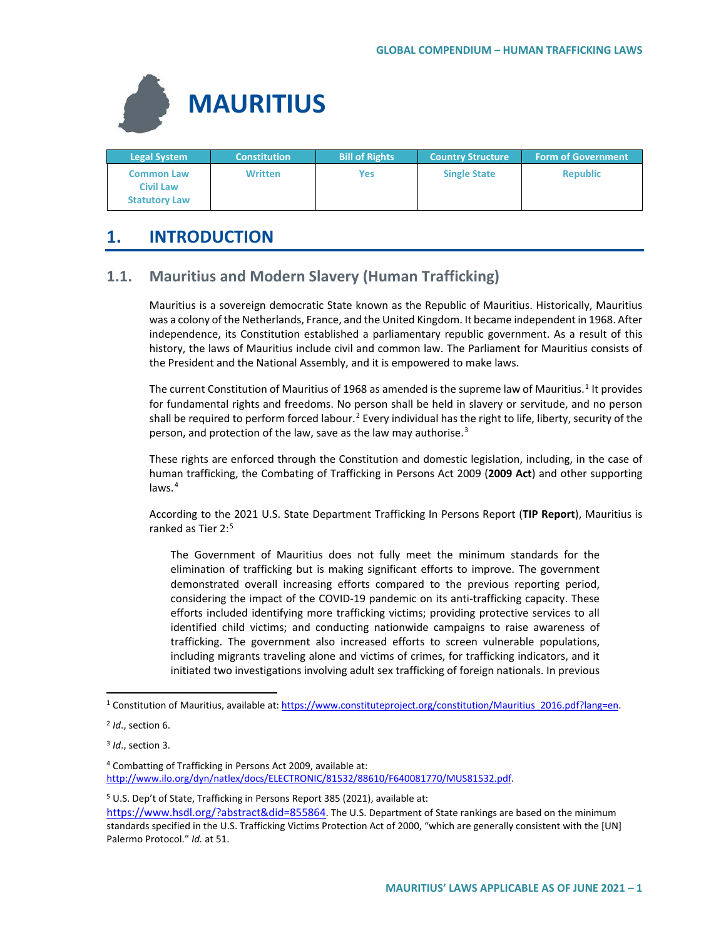

| <b>Legal System</b>                                           | <b>Constitution</b> | <b>Bill of Rights</b> | <b>Country Structure</b> | <b>Form of Government</b> |
|---------------------------------------------------------------|---------------------|-----------------------|--------------------------|---------------------------|
| <b>Common Law</b><br><b>Civil Law</b><br><b>Statutory Law</b> | Written             | Yes                   | <b>Single State</b>      | <b>Republic</b>           |

# **1. INTRODUCTION**

# **1.1. Mauritius and Modern Slavery (Human Trafficking)**

Mauritius is a sovereign democratic State known as the Republic of Mauritius. Historically, Mauritius was a colony of the Netherlands, France, and the United Kingdom. It became independent in 1968. After independence, its Constitution established a parliamentary republic government. As a result of this history, the laws of Mauritius include civil and common law. The Parliament for Mauritius consists of the President and the National Assembly, and it is empowered to make laws.

The current Constitution of Mauritius of [1](#page-0-0)968 as amended is the supreme law of Mauritius.<sup>1</sup> It provides for fundamental rights and freedoms. No person shall be held in slavery or servitude, and no person shall be required to perform forced labour.<sup>[2](#page-0-1)</sup> Every individual has the right to life, liberty, security of the person, and protection of the law, save as the law may authorise.<sup>[3](#page-0-2)</sup>

These rights are enforced through the Constitution and domestic legislation, including, in the case of human trafficking, the Combating of Trafficking in Persons Act 2009 (**2009 Act**) and other supporting laws.[4](#page-0-3)

According to the 2021 U.S. State Department Trafficking In Persons Report (**TIP Report**), Mauritius is ranked as Tier 2:<sup>[5](#page-0-4)</sup>

The Government of Mauritius does not fully meet the minimum standards for the elimination of trafficking but is making significant efforts to improve. The government demonstrated overall increasing efforts compared to the previous reporting period, considering the impact of the COVID-19 pandemic on its anti-trafficking capacity. These efforts included identifying more trafficking victims; providing protective services to all identified child victims; and conducting nationwide campaigns to raise awareness of trafficking. The government also increased efforts to screen vulnerable populations, including migrants traveling alone and victims of crimes, for trafficking indicators, and it initiated two investigations involving adult sex trafficking of foreign nationals. In previous

<span id="page-0-4"></span><sup>5</sup> U.S. Dep't of State, Trafficking in Persons Report 385 (2021), available at:

<span id="page-0-0"></span> $1$  Constitution of Mauritius, available at: https://www.constituteproject.org/constitution/Mauritius 2016.pdf?lang=en.

<span id="page-0-1"></span><sup>2</sup> *Id*., section 6.

<span id="page-0-2"></span><sup>3</sup> *Id*., section 3.

<span id="page-0-3"></span><sup>4</sup> Combatting of Trafficking in Persons Act 2009, available at: [http://www.ilo.org/dyn/natlex/docs/ELECTRONIC/81532/88610/F640081770/MUS81532.pdf.](http://www.ilo.org/dyn/natlex/docs/ELECTRONIC/81532/88610/F640081770/MUS81532.pdf) 

[https://www.hsdl.org/?abstract&did=855864.](https://www.hsdl.org/?abstract&did=855864) The U.S. Department of State rankings are based on the minimum standards specified in the U.S. Trafficking Victims Protection Act of 2000, "which are generally consistent with the [UN] Palermo Protocol." *Id.* at 51.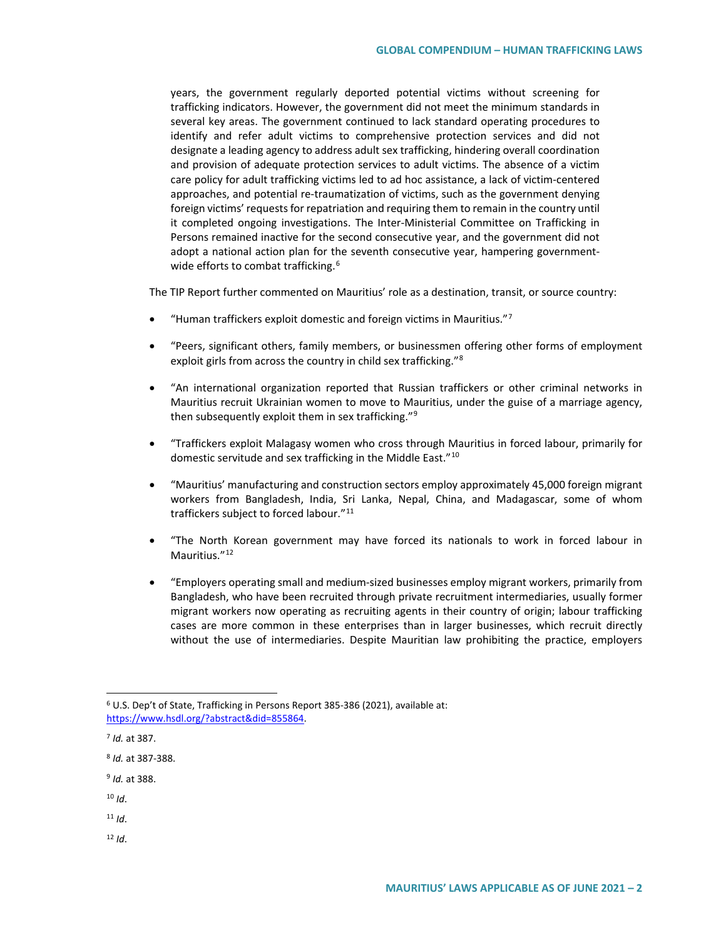years, the government regularly deported potential victims without screening for trafficking indicators. However, the government did not meet the minimum standards in several key areas. The government continued to lack standard operating procedures to identify and refer adult victims to comprehensive protection services and did not designate a leading agency to address adult sex trafficking, hindering overall coordination and provision of adequate protection services to adult victims. The absence of a victim care policy for adult trafficking victims led to ad hoc assistance, a lack of victim-centered approaches, and potential re-traumatization of victims, such as the government denying foreign victims' requests for repatriation and requiring them to remain in the country until it completed ongoing investigations. The Inter-Ministerial Committee on Trafficking in Persons remained inactive for the second consecutive year, and the government did not adopt a national action plan for the seventh consecutive year, hampering government-wide efforts to combat trafficking.<sup>[6](#page-1-0)</sup>

The TIP Report further commented on Mauritius' role as a destination, transit, or source country:

- "Human traffickers exploit domestic and foreign victims in Mauritius."[7](#page-1-1)
- "Peers, significant others, family members, or businessmen offering other forms of employment exploit girls from across the country in child sex trafficking."[8](#page-1-2)
- "An international organization reported that Russian traffickers or other criminal networks in Mauritius recruit Ukrainian women to move to Mauritius, under the guise of a marriage agency, then subsequently exploit them in sex trafficking."[9](#page-1-3)
- "Traffickers exploit Malagasy women who cross through Mauritius in forced labour, primarily for domestic servitude and sex trafficking in the Middle East."[10](#page-1-4)
- "Mauritius' manufacturing and construction sectors employ approximately 45,000 foreign migrant workers from Bangladesh, India, Sri Lanka, Nepal, China, and Madagascar, some of whom traffickers subject to forced labour."<sup>[11](#page-1-5)</sup>
- "The North Korean government may have forced its nationals to work in forced labour in Mauritius."<sup>[12](#page-1-6)</sup>
- "Employers operating small and medium-sized businesses employ migrant workers, primarily from Bangladesh, who have been recruited through private recruitment intermediaries, usually former migrant workers now operating as recruiting agents in their country of origin; labour trafficking cases are more common in these enterprises than in larger businesses, which recruit directly without the use of intermediaries. Despite Mauritian law prohibiting the practice, employers

- <span id="page-1-4"></span> $10$  *Id.*
- <span id="page-1-5"></span> $11$  *Id.*
- <span id="page-1-6"></span> $12$  *Id.*

<span id="page-1-0"></span> <sup>6</sup> U.S. Dep't of State, Trafficking in Persons Report 385-386 (2021), available at: [https://www.hsdl.org/?abstract&did=855864.](https://www.hsdl.org/?abstract&did=855864) 

<span id="page-1-1"></span><sup>7</sup> *Id.* at 387.

<span id="page-1-2"></span><sup>8</sup> *Id.* at 387-388.

<span id="page-1-3"></span><sup>9</sup> *Id.* at 388.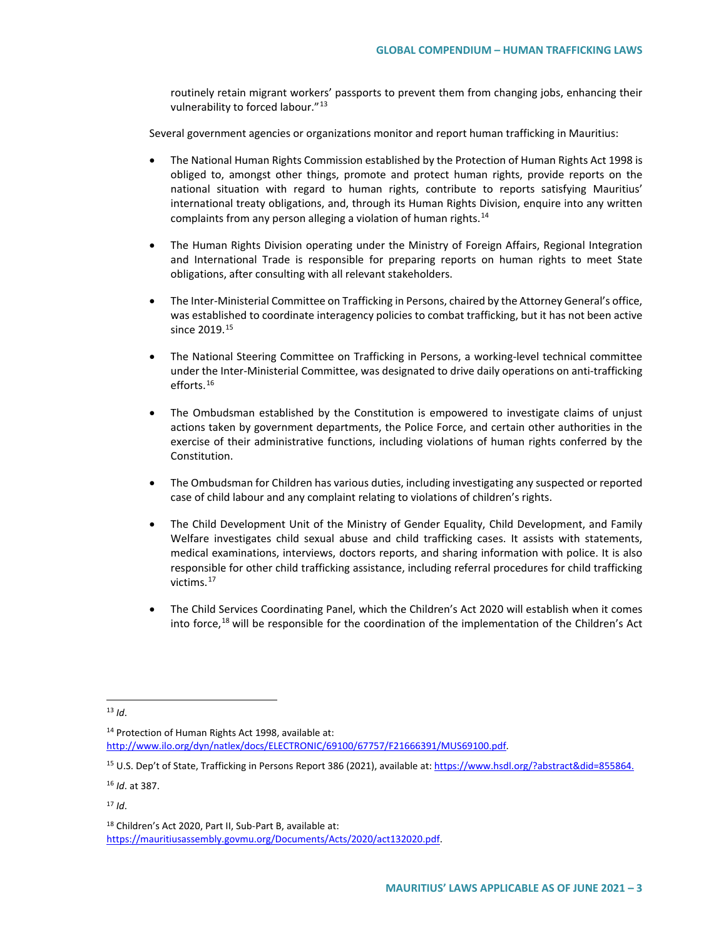routinely retain migrant workers' passports to prevent them from changing jobs, enhancing their vulnerability to forced labour."[13](#page-2-0)

Several government agencies or organizations monitor and report human trafficking in Mauritius:

- The National Human Rights Commission established by the Protection of Human Rights Act 1998 is obliged to, amongst other things, promote and protect human rights, provide reports on the national situation with regard to human rights, contribute to reports satisfying Mauritius' international treaty obligations, and, through its Human Rights Division, enquire into any written complaints from any person alleging a violation of human rights.[14](#page-2-1)
- The Human Rights Division operating under the Ministry of Foreign Affairs, Regional Integration and International Trade is responsible for preparing reports on human rights to meet State obligations, after consulting with all relevant stakeholders.
- The Inter-Ministerial Committee on Trafficking in Persons, chaired by the Attorney General's office, was established to coordinate interagency policies to combat trafficking, but it has not been active since 2019.<sup>[15](#page-2-2)</sup>
- The National Steering Committee on Trafficking in Persons, a working-level technical committee under the Inter-Ministerial Committee, was designated to drive daily operations on anti-trafficking efforts.[16](#page-2-3)
- The Ombudsman established by the Constitution is empowered to investigate claims of unjust actions taken by government departments, the Police Force, and certain other authorities in the exercise of their administrative functions, including violations of human rights conferred by the Constitution.
- The Ombudsman for Children has various duties, including investigating any suspected or reported case of child labour and any complaint relating to violations of children's rights.
- The Child Development Unit of the Ministry of Gender Equality, Child Development, and Family Welfare investigates child sexual abuse and child trafficking cases. It assists with statements, medical examinations, interviews, doctors reports, and sharing information with police. It is also responsible for other child trafficking assistance, including referral procedures for child trafficking victims.[17](#page-2-4)
- The Child Services Coordinating Panel, which the Children's Act 2020 will establish when it comes into force,<sup>[18](#page-2-5)</sup> will be responsible for the coordination of the implementation of the Children's Act

<span id="page-2-1"></span><sup>14</sup> Protection of Human Rights Act 1998, available at: [http://www.ilo.org/dyn/natlex/docs/ELECTRONIC/69100/67757/F21666391/MUS69100.pdf.](http://www.ilo.org/dyn/natlex/docs/ELECTRONIC/69100/67757/F21666391/MUS69100.pdf)

<span id="page-2-3"></span><sup>16</sup> *Id*. at 387.

<span id="page-2-0"></span> <sup>13</sup> *Id*.

<span id="page-2-2"></span><sup>15</sup> U.S. Dep't of State, Trafficking in Persons Report 386 (2021), available at[: https://www.hsdl.org/?abstract&did=855864.](https://www.hsdl.org/?abstract&did=855864)

<span id="page-2-4"></span> $17$  *Id.* 

<span id="page-2-5"></span><sup>18</sup> Children's Act 2020, Part II, Sub-Part B, available at: [https://mauritiusassembly.govmu.org/Documents/Acts/2020/act132020.pdf.](https://mauritiusassembly.govmu.org/Documents/Acts/2020/act132020.pdf)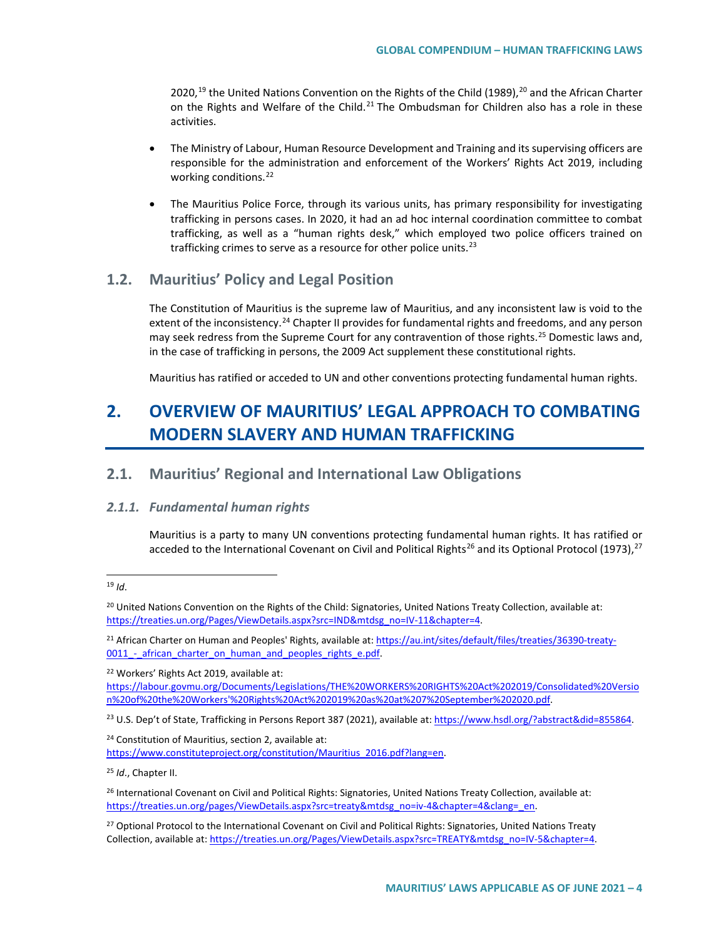2020,<sup>[19](#page-3-0)</sup> the United Nations Convention on the Rights of the Child (1989),<sup>[20](#page-3-1)</sup> and the African Charter on the Rights and Welfare of the Child.<sup>[21](#page-3-2)</sup> The Ombudsman for Children also has a role in these activities.

- The Ministry of Labour, Human Resource Development and Training and its supervising officers are responsible for the administration and enforcement of the Workers' Rights Act 2019, including working conditions.<sup>[22](#page-3-3)</sup>
- The Mauritius Police Force, through its various units, has primary responsibility for investigating trafficking in persons cases. In 2020, it had an ad hoc internal coordination committee to combat trafficking, as well as a "human rights desk," which employed two police officers trained on trafficking crimes to serve as a resource for other police units. $23$

## **1.2. Mauritius' Policy and Legal Position**

The Constitution of Mauritius is the supreme law of Mauritius, and any inconsistent law is void to the extent of the inconsistency.<sup>[24](#page-3-5)</sup> Chapter II provides for fundamental rights and freedoms, and any person may seek redress from the Supreme Court for any contravention of those rights.<sup>[25](#page-3-6)</sup> Domestic laws and, in the case of trafficking in persons, the 2009 Act supplement these constitutional rights.

Mauritius has ratified or acceded to UN and other conventions protecting fundamental human rights.

# **2. OVERVIEW OF MAURITIUS' LEGAL APPROACH TO COMBATING MODERN SLAVERY AND HUMAN TRAFFICKING**

## **2.1. Mauritius' Regional and International Law Obligations**

#### *2.1.1. Fundamental human rights*

Mauritius is a party to many UN conventions protecting fundamental human rights. It has ratified or acceded to the International Covenant on Civil and Political Rights<sup>[26](#page-3-7)</sup> and its Optional Protocol (1973),<sup>27</sup>

<span id="page-3-3"></span><sup>22</sup> Workers' Rights Act 2019, available at:

[https://labour.govmu.org/Documents/Legislations/THE%20WORKERS%20RIGHTS%20Act%202019/Consolidated%20Versio](https://labour.govmu.org/Documents/Legislations/THE%20WORKERS%20RIGHTS%20Act%202019/Consolidated%20Version%20of%20the%20Workers) [n%20of%20the%20Workers'%20Rights%20Act%202019%20as%20at%207%20September%202020.pdf.](https://labour.govmu.org/Documents/Legislations/THE%20WORKERS%20RIGHTS%20Act%202019/Consolidated%20Version%20of%20the%20Workers)

<span id="page-3-4"></span><sup>23</sup> U.S. Dep't of State, Trafficking in Persons Report 387 (2021), available at[: https://www.hsdl.org/?abstract&did=855864.](https://www.hsdl.org/?abstract&did=855864)

<span id="page-3-5"></span><sup>24</sup> Constitution of Mauritius, section 2, available at: [https://www.constituteproject.org/constitution/Mauritius\\_2016.pdf?lang=en.](https://www.constituteproject.org/constitution/Mauritius_2016.pdf?lang=en)

<span id="page-3-6"></span><sup>25</sup> *Id*., Chapter II.

<span id="page-3-0"></span> <sup>19</sup> *Id*.

<span id="page-3-1"></span> $20$  United Nations Convention on the Rights of the Child: Signatories, United Nations Treaty Collection, available at: [https://treaties.un.org/Pages/ViewDetails.aspx?src=IND&mtdsg\\_no=IV-11&chapter=4.](https://treaties.un.org/Pages/ViewDetails.aspx?src=IND&mtdsg_no=IV-11&chapter=4)

<span id="page-3-2"></span><sup>&</sup>lt;sup>21</sup> African Charter on Human and Peoples' Rights, available at[: https://au.int/sites/default/files/treaties/36390-treaty-](https://au.int/sites/default/files/treaties/36390-treaty-0011_-_african_charter_on_human_and_peoples_rights_e.pdf)0011 - african charter on human and peoples rights e.pdf.

<span id="page-3-7"></span><sup>&</sup>lt;sup>26</sup> International Covenant on Civil and Political Rights: Signatories, United Nations Treaty Collection, available at: [https://treaties.un.org/pages/ViewDetails.aspx?src=treaty&mtdsg\\_no=iv-4&chapter=4&clang=\\_en.](https://treaties.un.org/pages/ViewDetails.aspx?src=treaty&mtdsg_no=iv-4&chapter=4&clang=_en)

<span id="page-3-8"></span><sup>&</sup>lt;sup>27</sup> Optional Protocol to the International Covenant on Civil and Political Rights: Signatories, United Nations Treaty Collection, available at: https://treaties.un.org/Pages/ViewDetails.aspx?src=TREATY&mtdsg\_no=IV-5&chapter=4.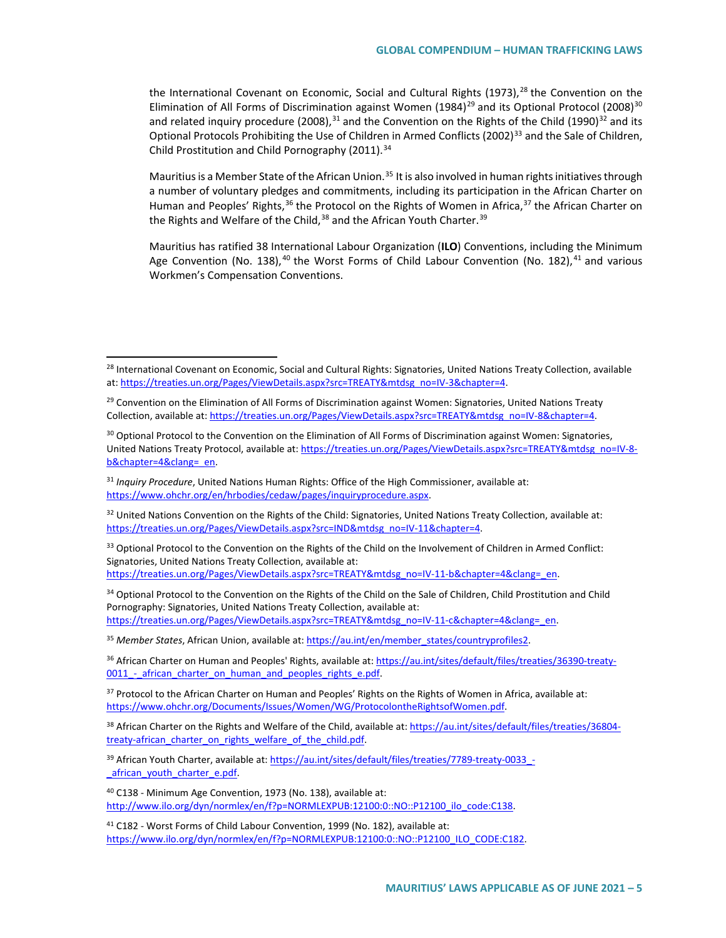the International Covenant on Economic, Social and Cultural Rights (1973),<sup>[28](#page-4-0)</sup> the Convention on the Elimination of All Forms of Discrimination against Women (1984)<sup>[29](#page-4-1)</sup> and its Optional Protocol (2008)<sup>[30](#page-4-2)</sup> and related inquiry procedure (2008),  $31$  and the Convention on the Rights of the Child (1990) $32$  and its Optional Protocols Prohibiting the Use of Children in Armed Conflicts (2002)<sup>[33](#page-4-5)</sup> and the Sale of Children, Child Prostitution and Child Pornography (2011).<sup>[34](#page-4-6)</sup>

Mauritius is a Member State of the African Union.<sup>[35](#page-4-7)</sup> It is also involved in human rights initiatives through a number of voluntary pledges and commitments, including its participation in the African Charter on Human and Peoples' Rights,<sup>[36](#page-4-8)</sup> the Protocol on the Rights of Women in Africa,<sup>[37](#page-4-9)</sup> the African Charter on the Rights and Welfare of the Child,<sup>[38](#page-4-10)</sup> and the African Youth Charter.<sup>[39](#page-4-11)</sup>

Mauritius has ratified 38 International Labour Organization (**ILO**) Conventions, including the Minimum Age Convention (No. 138),  $40$  the Worst Forms of Child Labour Convention (No. 182),  $41$  and various Workmen's Compensation Conventions.

<span id="page-4-5"></span><sup>33</sup> Optional Protocol to the Convention on the Rights of the Child on the Involvement of Children in Armed Conflict: Signatories, United Nations Treaty Collection, available at:

[https://treaties.un.org/Pages/ViewDetails.aspx?src=TREATY&mtdsg\\_no=IV-11-b&chapter=4&clang=\\_en.](https://treaties.un.org/Pages/ViewDetails.aspx?src=TREATY&mtdsg_no=IV-11-b&chapter=4&clang=_en)

<span id="page-4-6"></span><sup>34</sup> Optional Protocol to the Convention on the Rights of the Child on the Sale of Children, Child Prostitution and Child Pornography: Signatories, United Nations Treaty Collection, available at: [https://treaties.un.org/Pages/ViewDetails.aspx?src=TREATY&mtdsg\\_no=IV-11-c&chapter=4&clang=\\_en.](https://treaties.un.org/Pages/ViewDetails.aspx?src=TREATY&mtdsg_no=IV-11-c&chapter=4&clang=_en)

<span id="page-4-7"></span><sup>35</sup> *Member States*, African Union, available at[: https://au.int/en/member\\_states/countryprofiles2.](https://au.int/en/member_states/countryprofiles2) 

<span id="page-4-8"></span><sup>36</sup> African Charter on Human and Peoples' Rights, available at[: https://au.int/sites/default/files/treaties/36390-treaty-](https://au.int/sites/default/files/treaties/36390-treaty-0011_-_african_charter_on_human_and_peoples_rights_e.pdf)0011 - african charter on human and peoples rights e.pdf.

<span id="page-4-9"></span> $37$  Protocol to the African Charter on Human and Peoples' Rights on the Rights of Women in Africa, available at: [https://www.ohchr.org/Documents/Issues/Women/WG/ProtocolontheRightsofWomen.pdf.](https://www.ohchr.org/Documents/Issues/Women/WG/ProtocolontheRightsofWomen.pdf) 

<span id="page-4-10"></span><sup>38</sup> African Charter on the Rights and Welfare of the Child, available at: [https://au.int/sites/default/files/treaties/36804](https://au.int/sites/default/files/treaties/36804-treaty-african_charter_on_rights_welfare_of_the_child.pdf) treaty-african charter on rights welfare of the child.pdf.

<span id="page-4-11"></span>39 African Youth Charter, available at: https://au.int/sites/default/files/treaties/7789-treaty-0033 african youth charter e.pdf.

<span id="page-4-12"></span><sup>40</sup> C138 - Minimum Age Convention, 1973 (No. 138), available at: [http://www.ilo.org/dyn/normlex/en/f?p=NORMLEXPUB:12100:0::NO::P12100\\_ilo\\_code:C138.](http://www.ilo.org/dyn/normlex/en/f?p=NORMLEXPUB:12100:0::NO::P12100_ilo_code:C138)

<span id="page-4-13"></span><sup>41</sup> C182 - Worst Forms of Child Labour Convention, 1999 (No. 182), available at: [https://www.ilo.org/dyn/normlex/en/f?p=NORMLEXPUB:12100:0::NO::P12100\\_ILO\\_CODE:C182.](https://www.ilo.org/dyn/normlex/en/f?p=NORMLEXPUB:12100:0::NO::P12100_ILO_CODE:C182)

<span id="page-4-0"></span><sup>&</sup>lt;sup>28</sup> International Covenant on Economic, Social and Cultural Rights: Signatories, United Nations Treaty Collection, available at: https://treaties.un.org/Pages/ViewDetails.aspx?src=TREATY&mtdsg\_no=IV-3&chapter=4.

<span id="page-4-1"></span><sup>&</sup>lt;sup>29</sup> Convention on the Elimination of All Forms of Discrimination against Women: Signatories, United Nations Treaty Collection, available at: [https://treaties.un.org/Pages/ViewDetails.aspx?src=TREATY&mtdsg\\_no=IV-8&chapter=4.](https://treaties.un.org/Pages/ViewDetails.aspx?src=TREATY&mtdsg_no=IV-8&chapter=4) 

<span id="page-4-2"></span><sup>&</sup>lt;sup>30</sup> Optional Protocol to the Convention on the Elimination of All Forms of Discrimination against Women: Signatories, United Nations Treaty Protocol, available at: [https://treaties.un.org/Pages/ViewDetails.aspx?src=TREATY&mtdsg\\_no=IV-8](https://treaties.un.org/Pages/ViewDetails.aspx?src=TREATY&mtdsg_no=IV-8-b&chapter=4&clang=_en) [b&chapter=4&clang=\\_en.](https://treaties.un.org/Pages/ViewDetails.aspx?src=TREATY&mtdsg_no=IV-8-b&chapter=4&clang=_en) 

<span id="page-4-3"></span><sup>31</sup> *Inquiry Procedure*, United Nations Human Rights: Office of the High Commissioner, available at: [https://www.ohchr.org/en/hrbodies/cedaw/pages/inquiryprocedure.aspx.](https://www.ohchr.org/en/hrbodies/cedaw/pages/inquiryprocedure.aspx) 

<span id="page-4-4"></span> $32$  United Nations Convention on the Rights of the Child: Signatories, United Nations Treaty Collection, available at: [https://treaties.un.org/Pages/ViewDetails.aspx?src=IND&mtdsg\\_no=IV-11&chapter=4.](https://treaties.un.org/Pages/ViewDetails.aspx?src=IND&mtdsg_no=IV-11&chapter=4)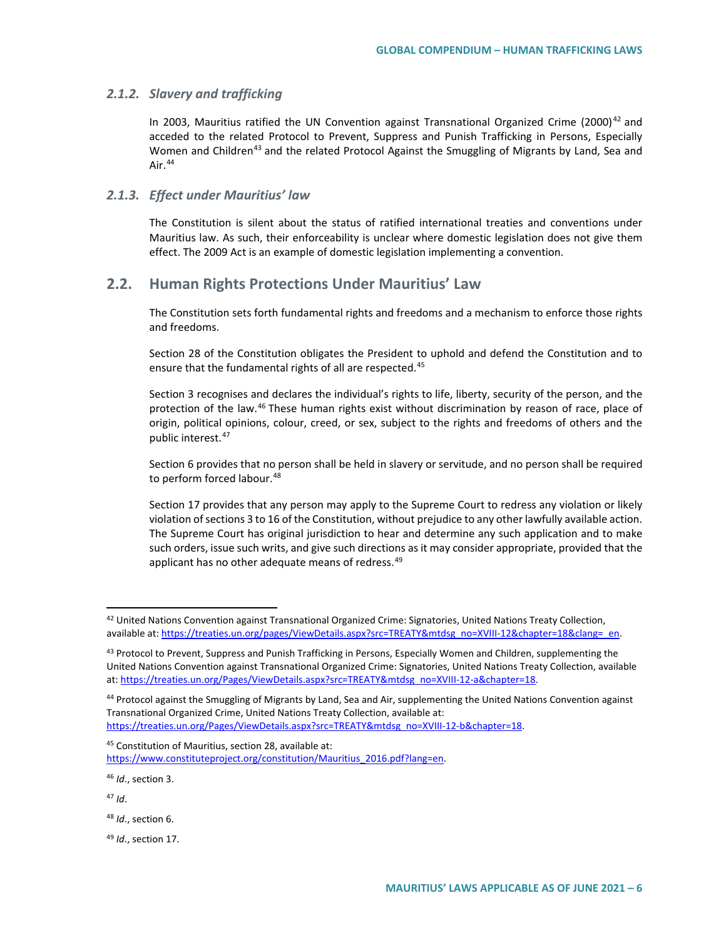#### *2.1.2. Slavery and trafficking*

In 2003, Mauritius ratified the UN Convention against Transnational Organized Crime (2000)<sup>[42](#page-5-0)</sup> and acceded to the related Protocol to Prevent, Suppress and Punish Trafficking in Persons, Especially Women and Children<sup>[43](#page-5-1)</sup> and the related Protocol Against the Smuggling of Migrants by Land, Sea and Air.<sup>[44](#page-5-2)</sup>

#### *2.1.3. Effect under Mauritius' law*

The Constitution is silent about the status of ratified international treaties and conventions under Mauritius law. As such, their enforceability is unclear where domestic legislation does not give them effect. The 2009 Act is an example of domestic legislation implementing a convention.

### **2.2. Human Rights Protections Under Mauritius' Law**

The Constitution sets forth fundamental rights and freedoms and a mechanism to enforce those rights and freedoms.

Section 28 of the Constitution obligates the President to uphold and defend the Constitution and to ensure that the fundamental rights of all are respected.<sup>[45](#page-5-3)</sup>

Section 3 recognises and declares the individual's rights to life, liberty, security of the person, and the protection of the law.<sup>[46](#page-5-4)</sup> These human rights exist without discrimination by reason of race, place of origin, political opinions, colour, creed, or sex, subject to the rights and freedoms of others and the public interest.<sup>[47](#page-5-5)</sup>

Section 6 provides that no person shall be held in slavery or servitude, and no person shall be required to perform forced labour.<sup>[48](#page-5-6)</sup>

Section 17 provides that any person may apply to the Supreme Court to redress any violation or likely violation ofsections 3 to 16 of the Constitution, without prejudice to any other lawfully available action. The Supreme Court has original jurisdiction to hear and determine any such application and to make such orders, issue such writs, and give such directions as it may consider appropriate, provided that the applicant has no other adequate means of redress.<sup>[49](#page-5-7)</sup>

<span id="page-5-4"></span><sup>46</sup> *Id*., section 3.

<span id="page-5-5"></span><sup>47</sup> *Id*.

<span id="page-5-6"></span><sup>48</sup> *Id*., section 6.

<span id="page-5-7"></span><sup>49</sup> *Id*., section 17.

<span id="page-5-0"></span> $42$  United Nations Convention against Transnational Organized Crime: Signatories, United Nations Treaty Collection, available at: https://treaties.un.org/pages/ViewDetails.aspx?src=TREATY&mtdsg\_no=XVIII-12&chapter=18&clang=\_en.

<span id="page-5-1"></span><sup>&</sup>lt;sup>43</sup> Protocol to Prevent, Suppress and Punish Trafficking in Persons, Especially Women and Children, supplementing the United Nations Convention against Transnational Organized Crime: Signatories, United Nations Treaty Collection, available at: [https://treaties.un.org/Pages/ViewDetails.aspx?src=TREATY&mtdsg\\_no=XVIII-12-a&chapter=18.](https://treaties.un.org/Pages/ViewDetails.aspx?src=TREATY&mtdsg_no=XVIII-12-a&chapter=18)

<span id="page-5-2"></span><sup>&</sup>lt;sup>44</sup> Protocol against the Smuggling of Migrants by Land, Sea and Air, supplementing the United Nations Convention against Transnational Organized Crime, United Nations Treaty Collection, available at: https://treaties.un.org/Pages/ViewDetails.aspx?src=TREATY&mtdsg\_no=XVIII-12-b&chapter=18.

<span id="page-5-3"></span><sup>45</sup> Constitution of Mauritius, section 28, available at: [https://www.constituteproject.org/constitution/Mauritius\\_2016.pdf?lang=en.](https://www.constituteproject.org/constitution/Mauritius_2016.pdf?lang=en)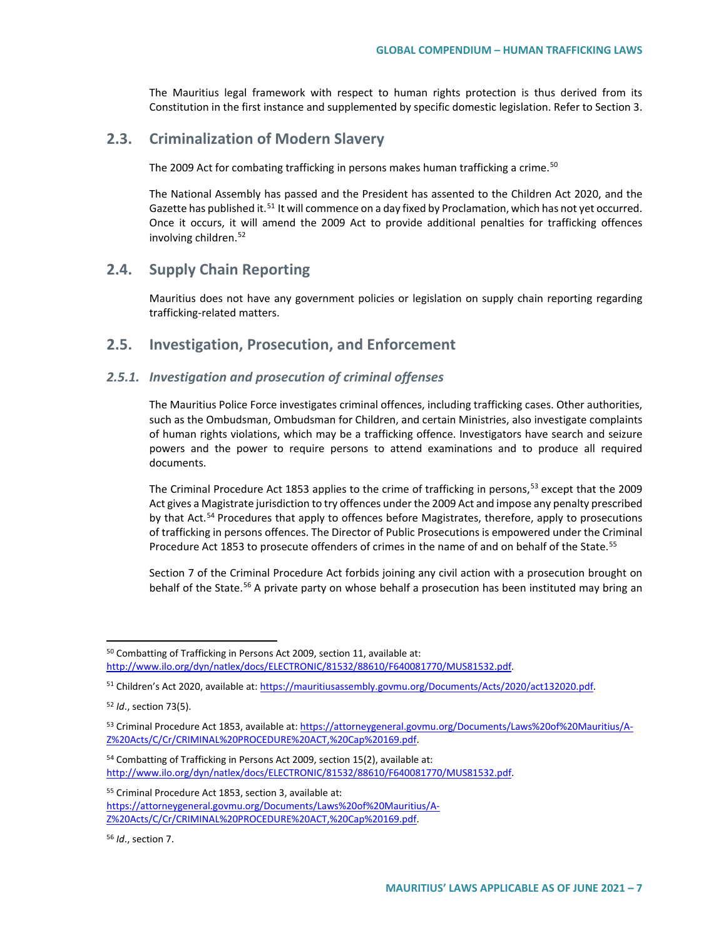The Mauritius legal framework with respect to human rights protection is thus derived from its Constitution in the first instance and supplemented by specific domestic legislation. Refer to Section 3.

# **2.3. Criminalization of Modern Slavery**

The 2009 Act for combating trafficking in persons makes human trafficking a crime.<sup>[50](#page-6-0)</sup>

The National Assembly has passed and the President has assented to the Children Act 2020, and the Gazette has published it.<sup>[51](#page-6-1)</sup> It will commence on a day fixed by Proclamation, which has not yet occurred. Once it occurs, it will amend the 2009 Act to provide additional penalties for trafficking offences involving children.<sup>[52](#page-6-2)</sup>

## **2.4. Supply Chain Reporting**

Mauritius does not have any government policies or legislation on supply chain reporting regarding trafficking-related matters.

### **2.5. Investigation, Prosecution, and Enforcement**

#### *2.5.1. Investigation and prosecution of criminal offenses*

The Mauritius Police Force investigates criminal offences, including trafficking cases. Other authorities, such as the Ombudsman, Ombudsman for Children, and certain Ministries, also investigate complaints of human rights violations, which may be a trafficking offence. Investigators have search and seizure powers and the power to require persons to attend examinations and to produce all required documents.

The Criminal Procedure Act 18[53](#page-6-3) applies to the crime of trafficking in persons,<sup>53</sup> except that the 2009 Act gives a Magistrate jurisdiction to try offences under the 2009 Act and impose any penalty prescribed by that Act.<sup>[54](#page-6-4)</sup> Procedures that apply to offences before Magistrates, therefore, apply to prosecutions of trafficking in persons offences. The Director of Public Prosecutions is empowered under the Criminal Procedure Act 1853 to prosecute offenders of crimes in the name of and on behalf of the State.<sup>[55](#page-6-5)</sup>

Section 7 of the Criminal Procedure Act forbids joining any civil action with a prosecution brought on behalf of the State.<sup>[56](#page-6-6)</sup> A private party on whose behalf a prosecution has been instituted may bring an

<span id="page-6-5"></span><sup>55</sup> Criminal Procedure Act 1853, section 3, available at: [https://attorneygeneral.govmu.org/Documents/Laws%20of%20Mauritius/A-](https://attorneygeneral.govmu.org/Documents/Laws%20of%20Mauritius/A-Z%20Acts/C/Cr/CRIMINAL%20PROCEDURE%20ACT,%20Cap%20169.pdf)[Z%20Acts/C/Cr/CRIMINAL%20PROCEDURE%20ACT,%20Cap%20169.pdf.](https://attorneygeneral.govmu.org/Documents/Laws%20of%20Mauritius/A-Z%20Acts/C/Cr/CRIMINAL%20PROCEDURE%20ACT,%20Cap%20169.pdf)

<span id="page-6-6"></span><sup>56</sup> *Id*., section 7.

<span id="page-6-0"></span> <sup>50</sup> Combatting of Trafficking in Persons Act 2009, section 11, available at: [http://www.ilo.org/dyn/natlex/docs/ELECTRONIC/81532/88610/F640081770/MUS81532.pdf.](http://www.ilo.org/dyn/natlex/docs/ELECTRONIC/81532/88610/F640081770/MUS81532.pdf)

<span id="page-6-1"></span><sup>&</sup>lt;sup>51</sup> Children's Act 2020, available at[: https://mauritiusassembly.govmu.org/Documents/Acts/2020/act132020.pdf.](https://mauritiusassembly.govmu.org/Documents/Acts/2020/act132020.pdf)

<span id="page-6-2"></span><sup>52</sup> *Id*., section 73(5).

<span id="page-6-3"></span><sup>53</sup> Criminal Procedure Act 1853, available at[: https://attorneygeneral.govmu.org/Documents/Laws%20of%20Mauritius/A-](https://attorneygeneral.govmu.org/Documents/Laws%20of%20Mauritius/A-Z%20Acts/C/Cr/CRIMINAL%20PROCEDURE%20ACT,%20Cap%20169.pdf)[Z%20Acts/C/Cr/CRIMINAL%20PROCEDURE%20ACT,%20Cap%20169.pdf.](https://attorneygeneral.govmu.org/Documents/Laws%20of%20Mauritius/A-Z%20Acts/C/Cr/CRIMINAL%20PROCEDURE%20ACT,%20Cap%20169.pdf)

<span id="page-6-4"></span><sup>54</sup> Combatting of Trafficking in Persons Act 2009, section 15(2), available at: [http://www.ilo.org/dyn/natlex/docs/ELECTRONIC/81532/88610/F640081770/MUS81532.pdf.](http://www.ilo.org/dyn/natlex/docs/ELECTRONIC/81532/88610/F640081770/MUS81532.pdf)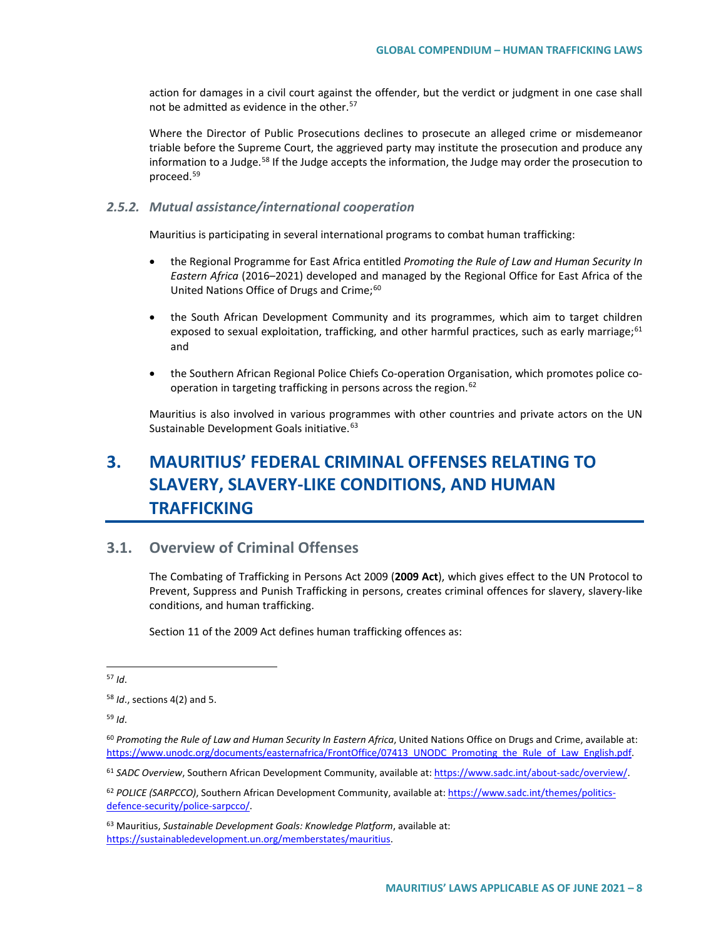action for damages in a civil court against the offender, but the verdict or judgment in one case shall not be admitted as evidence in the other.<sup>[57](#page-7-0)</sup>

Where the Director of Public Prosecutions declines to prosecute an alleged crime or misdemeanor triable before the Supreme Court, the aggrieved party may institute the prosecution and produce any information to a Judge.<sup>[58](#page-7-1)</sup> If the Judge accepts the information, the Judge may order the prosecution to proceed[.59](#page-7-2)

#### *2.5.2. Mutual assistance/international cooperation*

Mauritius is participating in several international programs to combat human trafficking:

- the Regional Programme for East Africa entitled *Promoting the Rule of Law and Human Security In Eastern Africa* (2016–2021) developed and managed by the Regional Office for East Africa of the United Nations Office of Drugs and Crime;<sup>[60](#page-7-3)</sup>
- the South African Development Community and its programmes, which aim to target children exposed to sexual exploitation, trafficking, and other harmful practices, such as early marriage;<sup>[61](#page-7-4)</sup> and
- the Southern African Regional Police Chiefs Co-operation Organisation, which promotes police co-operation in targeting trafficking in persons across the region.<sup>[62](#page-7-5)</sup>

Mauritius is also involved in various programmes with other countries and private actors on the UN Sustainable Development Goals initiative.<sup>[63](#page-7-6)</sup>

# **3. MAURITIUS' FEDERAL CRIMINAL OFFENSES RELATING TO SLAVERY, SLAVERY-LIKE CONDITIONS, AND HUMAN TRAFFICKING**

## **3.1. Overview of Criminal Offenses**

The Combating of Trafficking in Persons Act 2009 (**2009 Act**), which gives effect to the UN Protocol to Prevent, Suppress and Punish Trafficking in persons, creates criminal offences for slavery, slavery-like conditions, and human trafficking.

Section 11 of the 2009 Act defines human trafficking offences as:

<span id="page-7-4"></span><sup>61</sup> *SADC Overview*, Southern African Development Community, available at[: https://www.sadc.int/about-sadc/overview/.](https://www.sadc.int/about-sadc/overview/) 

<span id="page-7-5"></span><sup>62</sup> POLICE (SARPCCO), Southern African Development Community, available at: [https://www.sadc.int/themes/politics](https://www.sadc.int/themes/politics-defence-security/police-sarpcco/)[defence-security/police-sarpcco/.](https://www.sadc.int/themes/politics-defence-security/police-sarpcco/) 

<span id="page-7-0"></span> <sup>57</sup> *Id*.

<span id="page-7-1"></span><sup>58</sup> *Id*., sections 4(2) and 5.

<span id="page-7-2"></span><sup>59</sup> *Id*.

<span id="page-7-3"></span><sup>60</sup> *Promoting the Rule of Law and Human Security In Eastern Africa*, United Nations Office on Drugs and Crime, available at: [https://www.unodc.org/documents/easternafrica/FrontOffice/07413\\_UNODC\\_Promoting\\_the\\_Rule\\_of\\_Law\\_English.pdf.](https://www.unodc.org/documents/easternafrica/FrontOffice/07413_UNODC_Promoting_the_Rule_of_Law_English.pdf)

<span id="page-7-6"></span><sup>63</sup> Mauritius, *Sustainable Development Goals: Knowledge Platform*, available at: [https://sustainabledevelopment.un.org/memberstates/mauritius.](https://sustainabledevelopment.un.org/memberstates/mauritius)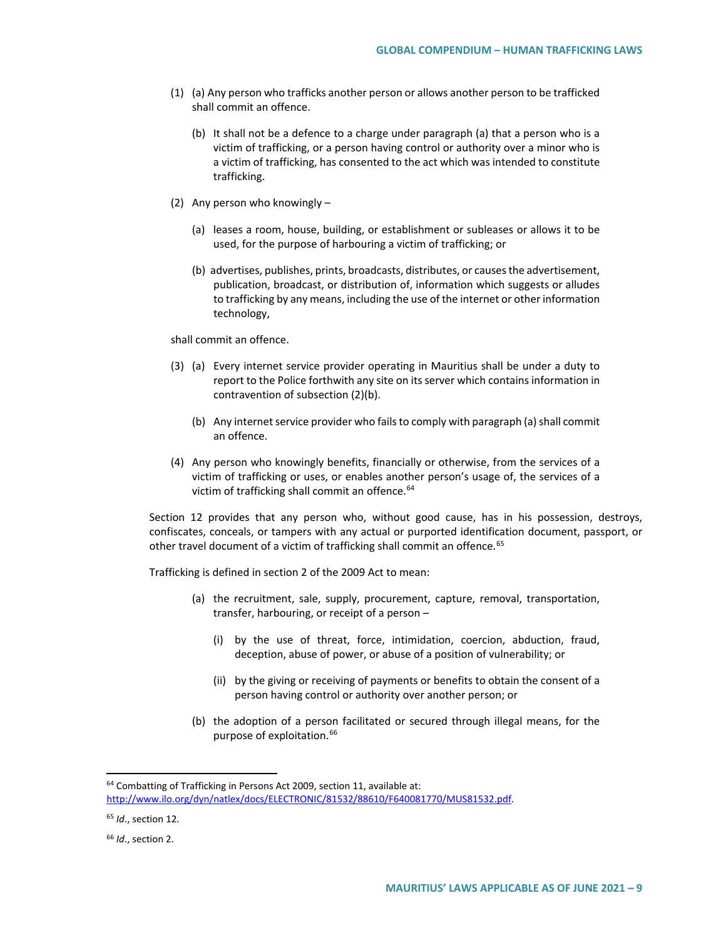- (1) (a) Any person who trafficks another person or allows another person to be trafficked shall commit an offence.
	- (b) It shall not be a defence to a charge under paragraph (a) that a person who is a victim of trafficking, or a person having control or authority over a minor who is a victim of trafficking, has consented to the act which was intended to constitute trafficking.
- (2) Any person who knowingly
	- (a) leases a room, house, building, or establishment or subleases or allows it to be used, for the purpose of harbouring a victim of trafficking; or
	- (b) advertises, publishes, prints, broadcasts, distributes, or causes the advertisement, publication, broadcast, or distribution of, information which suggests or alludes to trafficking by any means, including the use of the internet or other information technology,

shall commit an offence.

- (3) (a) Every internet service provider operating in Mauritius shall be under a duty to report to the Police forthwith any site on its server which contains information in contravention of subsection (2)(b).
	- (b) Any internet service provider who fails to comply with paragraph (a) shall commit an offence.
- (4) Any person who knowingly benefits, financially or otherwise, from the services of a victim of trafficking or uses, or enables another person's usage of, the services of a victim of trafficking shall commit an offence.<sup>[64](#page-8-0)</sup>

Section 12 provides that any person who, without good cause, has in his possession, destroys, confiscates, conceals, or tampers with any actual or purported identification document, passport, or other travel document of a victim of trafficking shall commit an offence.<sup>[65](#page-8-1)</sup>

Trafficking is defined in section 2 of the 2009 Act to mean:

- (a) the recruitment, sale, supply, procurement, capture, removal, transportation, transfer, harbouring, or receipt of a person –
	- (i) by the use of threat, force, intimidation, coercion, abduction, fraud, deception, abuse of power, or abuse of a position of vulnerability; or
	- (ii) by the giving or receiving of payments or benefits to obtain the consent of a person having control or authority over another person; or
- (b) the adoption of a person facilitated or secured through illegal means, for the purpose of exploitation.<sup>[66](#page-8-2)</sup>

<span id="page-8-0"></span><sup>&</sup>lt;sup>64</sup> Combatting of Trafficking in Persons Act 2009, section 11, available at: [http://www.ilo.org/dyn/natlex/docs/ELECTRONIC/81532/88610/F640081770/MUS81532.pdf.](http://www.ilo.org/dyn/natlex/docs/ELECTRONIC/81532/88610/F640081770/MUS81532.pdf)

<span id="page-8-1"></span><sup>65</sup> *Id*., section 12.

<span id="page-8-2"></span><sup>66</sup> *Id*., section 2.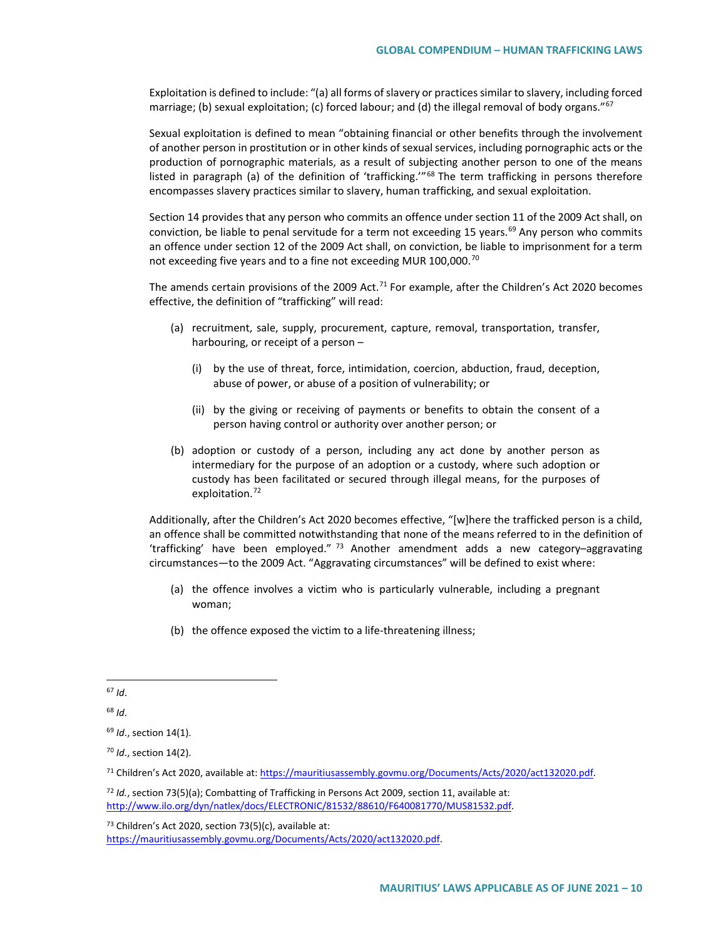Exploitation is defined to include: "(a) all forms of slavery or practices similar to slavery, including forced marriage; (b) sexual exploitation; (c) forced labour; and (d) the illegal removal of body organs."<sup>[67](#page-9-0)</sup>

Sexual exploitation is defined to mean "obtaining financial or other benefits through the involvement of another person in prostitution or in other kinds of sexual services, including pornographic acts or the production of pornographic materials, as a result of subjecting another person to one of the means listed in paragraph (a) of the definition of 'trafficking."<sup>[68](#page-9-1)</sup> The term trafficking in persons therefore encompasses slavery practices similar to slavery, human trafficking, and sexual exploitation.

Section 14 provides that any person who commits an offence under section 11 of the 2009 Act shall, on conviction, be liable to penal servitude for a term not exceeding 15 years.<sup>[69](#page-9-2)</sup> Any person who commits an offence under section 12 of the 2009 Act shall, on conviction, be liable to imprisonment for a term not exceeding five years and to a fine not exceeding MUR 100,000.<sup>[70](#page-9-3)</sup>

The amends certain provisions of the 2009 Act.<sup>[71](#page-9-4)</sup> For example, after the Children's Act 2020 becomes effective, the definition of "trafficking" will read:

- (a) recruitment, sale, supply, procurement, capture, removal, transportation, transfer, harbouring, or receipt of a person –
	- (i) by the use of threat, force, intimidation, coercion, abduction, fraud, deception, abuse of power, or abuse of a position of vulnerability; or
	- (ii) by the giving or receiving of payments or benefits to obtain the consent of a person having control or authority over another person; or
- (b) adoption or custody of a person, including any act done by another person as intermediary for the purpose of an adoption or a custody, where such adoption or custody has been facilitated or secured through illegal means, for the purposes of exploitation.<sup>[72](#page-9-5)</sup>

Additionally, after the Children's Act 2020 becomes effective, "[w]here the trafficked person is a child, an offence shall be committed notwithstanding that none of the means referred to in the definition of 'trafficking' have been employed."  $^{73}$  $^{73}$  $^{73}$  Another amendment adds a new category-aggravating circumstances—to the 2009 Act. "Aggravating circumstances" will be defined to exist where:

- (a) the offence involves a victim who is particularly vulnerable, including a pregnant woman;
- (b) the offence exposed the victim to a life-threatening illness;

<span id="page-9-6"></span> $73$  Children's Act 2020, section 73(5)(c), available at: [https://mauritiusassembly.govmu.org/Documents/Acts/2020/act132020.pdf.](https://mauritiusassembly.govmu.org/Documents/Acts/2020/act132020.pdf)

<span id="page-9-0"></span> <sup>67</sup> *Id*.

<span id="page-9-1"></span><sup>68</sup> *Id*.

<span id="page-9-2"></span><sup>69</sup> *Id*., section 14(1).

<span id="page-9-3"></span><sup>70</sup> *Id*., section 14(2).

<span id="page-9-4"></span><sup>71</sup> Children's Act 2020, available at[: https://mauritiusassembly.govmu.org/Documents/Acts/2020/act132020.pdf.](https://mauritiusassembly.govmu.org/Documents/Acts/2020/act132020.pdf)

<span id="page-9-5"></span><sup>72</sup> *Id.*, section 73(5)(a); Combatting of Trafficking in Persons Act 2009, section 11, available at: [http://www.ilo.org/dyn/natlex/docs/ELECTRONIC/81532/88610/F640081770/MUS81532.pdf.](http://www.ilo.org/dyn/natlex/docs/ELECTRONIC/81532/88610/F640081770/MUS81532.pdf)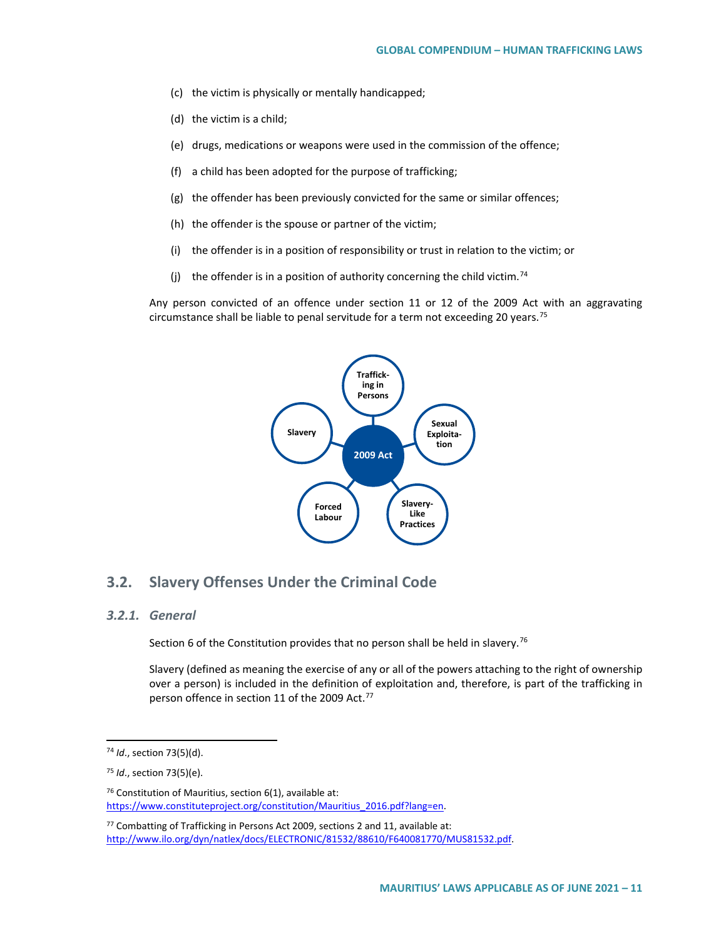- (c) the victim is physically or mentally handicapped;
- (d) the victim is a child;
- (e) drugs, medications or weapons were used in the commission of the offence;
- (f) a child has been adopted for the purpose of trafficking;
- (g) the offender has been previously convicted for the same or similar offences;
- (h) the offender is the spouse or partner of the victim;
- (i) the offender is in a position of responsibility or trust in relation to the victim; or
- (i) the offender is in a position of authority concerning the child victim.<sup>[74](#page-10-0)</sup>

Any person convicted of an offence under section 11 or 12 of the 2009 Act with an aggravating circumstance shall be liable to penal servitude for a term not exceeding 20 years.<sup>[75](#page-10-1)</sup>



### **3.2. Slavery Offenses Under the Criminal Code**

#### *3.2.1. General*

Section 6 of the Constitution provides that no person shall be held in slavery.<sup>[76](#page-10-2)</sup>

Slavery (defined as meaning the exercise of any or all of the powers attaching to the right of ownership over a person) is included in the definition of exploitation and, therefore, is part of the trafficking in person offence in section 11 of the 2009 Act.<sup>[77](#page-10-3)</sup>

<span id="page-10-0"></span> <sup>74</sup> *Id*., section 73(5)(d).

<span id="page-10-1"></span><sup>75</sup> *Id*., section 73(5)(e).

<span id="page-10-2"></span> $76$  Constitution of Mauritius, section 6(1), available at: [https://www.constituteproject.org/constitution/Mauritius\\_2016.pdf?lang=en.](https://www.constituteproject.org/constitution/Mauritius_2016.pdf?lang=en)

<span id="page-10-3"></span> $77$  Combatting of Trafficking in Persons Act 2009, sections 2 and 11, available at: [http://www.ilo.org/dyn/natlex/docs/ELECTRONIC/81532/88610/F640081770/MUS81532.pdf.](http://www.ilo.org/dyn/natlex/docs/ELECTRONIC/81532/88610/F640081770/MUS81532.pdf)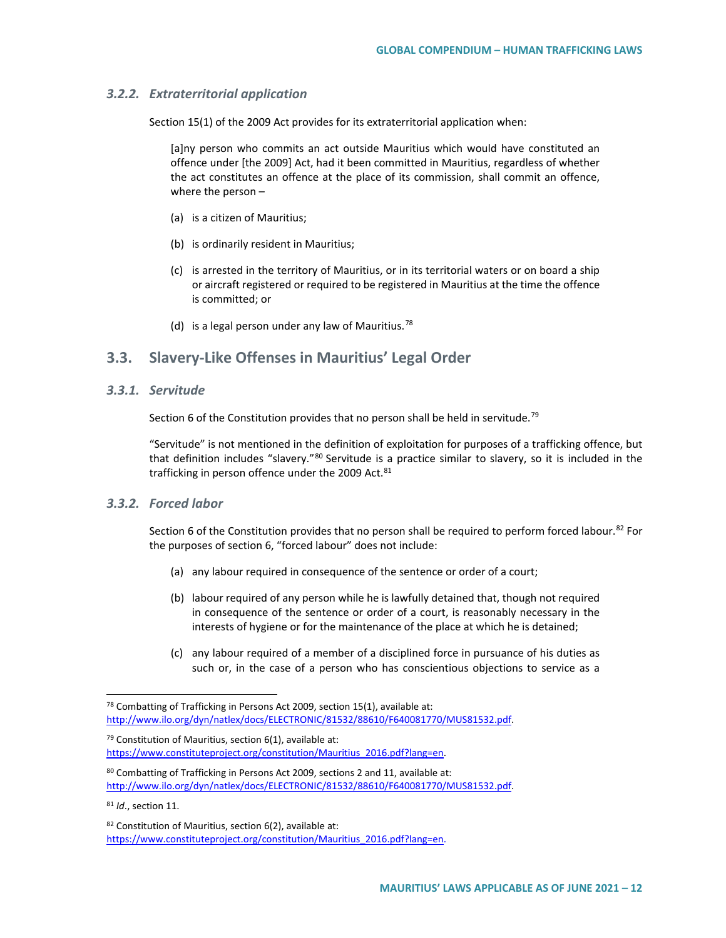#### *3.2.2. Extraterritorial application*

Section 15(1) of the 2009 Act provides for its extraterritorial application when:

[a]ny person who commits an act outside Mauritius which would have constituted an offence under [the 2009] Act, had it been committed in Mauritius, regardless of whether the act constitutes an offence at the place of its commission, shall commit an offence, where the person –

- (a) is a citizen of Mauritius;
- (b) is ordinarily resident in Mauritius;
- (c) is arrested in the territory of Mauritius, or in its territorial waters or on board a ship or aircraft registered or required to be registered in Mauritius at the time the offence is committed; or
- (d) is a legal person under any law of Mauritius.<sup>[78](#page-11-0)</sup>

# **3.3. Slavery-Like Offenses in Mauritius' Legal Order**

*3.3.1. Servitude*

Section 6 of the Constitution provides that no person shall be held in servitude.<sup>[79](#page-11-1)</sup>

"Servitude" is not mentioned in the definition of exploitation for purposes of a trafficking offence, but that definition includes "slavery."<sup>[80](#page-11-2)</sup> Servitude is a practice similar to slavery, so it is included in the trafficking in person offence under the 2009 Act. $81$ 

#### *3.3.2. Forced labor*

Section 6 of the Constitution provides that no person shall be required to perform forced labour.<sup>[82](#page-11-4)</sup> For the purposes of section 6, "forced labour" does not include:

- (a) any labour required in consequence of the sentence or order of a court;
- (b) labour required of any person while he is lawfully detained that, though not required in consequence of the sentence or order of a court, is reasonably necessary in the interests of hygiene or for the maintenance of the place at which he is detained;
- (c) any labour required of a member of a disciplined force in pursuance of his duties as such or, in the case of a person who has conscientious objections to service as a

<span id="page-11-1"></span> $79$  Constitution of Mauritius, section 6(1), available at: [https://www.constituteproject.org/constitution/Mauritius\\_2016.pdf?lang=en.](https://www.constituteproject.org/constitution/Mauritius_2016.pdf?lang=en)

<span id="page-11-2"></span>80 Combatting of Trafficking in Persons Act 2009, sections 2 and 11, available at: [http://www.ilo.org/dyn/natlex/docs/ELECTRONIC/81532/88610/F640081770/MUS81532.pdf.](http://www.ilo.org/dyn/natlex/docs/ELECTRONIC/81532/88610/F640081770/MUS81532.pdf)

<span id="page-11-3"></span><sup>81</sup> *Id*., section 11.

<span id="page-11-0"></span> $78$  Combatting of Trafficking in Persons Act 2009, section 15(1), available at: [http://www.ilo.org/dyn/natlex/docs/ELECTRONIC/81532/88610/F640081770/MUS81532.pdf.](http://www.ilo.org/dyn/natlex/docs/ELECTRONIC/81532/88610/F640081770/MUS81532.pdf)

<span id="page-11-4"></span> $82$  Constitution of Mauritius, section 6(2), available at: [https://www.constituteproject.org/constitution/Mauritius\\_2016.pdf?lang=en.](https://www.constituteproject.org/constitution/Mauritius_2016.pdf?lang=en)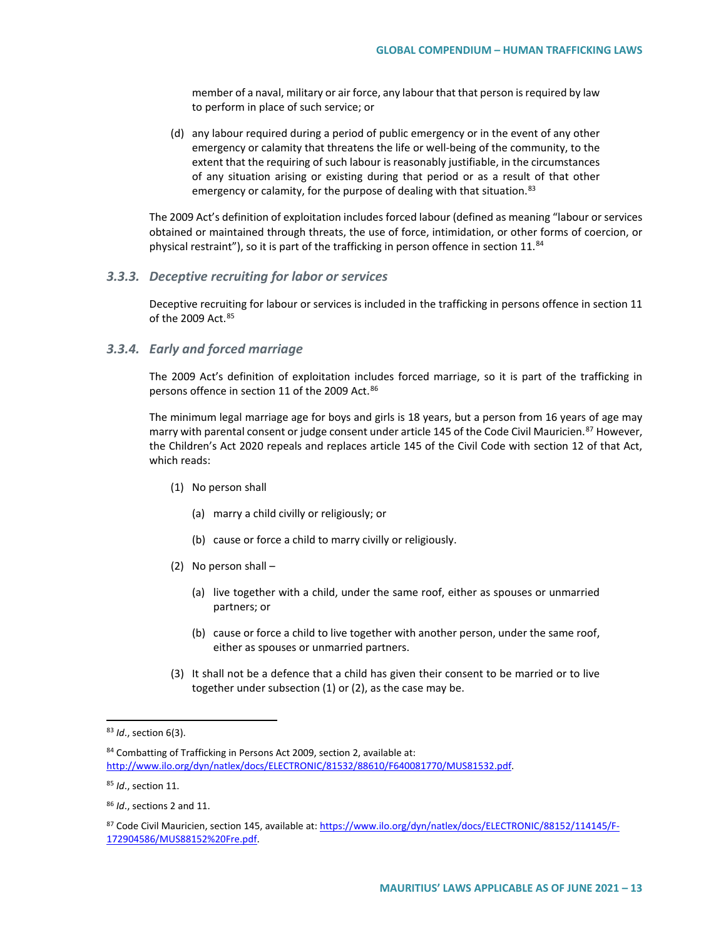member of a naval, military or air force, any labour that that person is required by law to perform in place of such service; or

(d) any labour required during a period of public emergency or in the event of any other emergency or calamity that threatens the life or well-being of the community, to the extent that the requiring of such labour is reasonably justifiable, in the circumstances of any situation arising or existing during that period or as a result of that other emergency or calamity, for the purpose of dealing with that situation.<sup>[83](#page-12-0)</sup>

The 2009 Act's definition of exploitation includes forced labour (defined as meaning "labour or services obtained or maintained through threats, the use of force, intimidation, or other forms of coercion, or physical restraint"), so it is part of the trafficking in person offence in section  $11^{84}$  $11^{84}$  $11^{84}$ 

#### *3.3.3. Deceptive recruiting for labor or services*

Deceptive recruiting for labour or services is included in the trafficking in persons offence in section 11 of the 2009 Act.<sup>[85](#page-12-2)</sup>

#### *3.3.4. Early and forced marriage*

The 2009 Act's definition of exploitation includes forced marriage, so it is part of the trafficking in persons offence in section 11 of the 2009 Act.<sup>[86](#page-12-3)</sup>

The minimum legal marriage age for boys and girls is 18 years, but a person from 16 years of age may marry with parental consent or judge consent under article 145 of the Code Civil Mauricien.<sup>[87](#page-12-4)</sup> However, the Children's Act 2020 repeals and replaces article 145 of the Civil Code with section 12 of that Act, which reads:

- (1) No person shall
	- (a) marry a child civilly or religiously; or
	- (b) cause or force a child to marry civilly or religiously.
- (2) No person shall
	- (a) live together with a child, under the same roof, either as spouses or unmarried partners; or
	- (b) cause or force a child to live together with another person, under the same roof, either as spouses or unmarried partners.
- (3) It shall not be a defence that a child has given their consent to be married or to live together under subsection (1) or (2), as the case may be.

<span id="page-12-0"></span> <sup>83</sup> *Id*., section 6(3).

<span id="page-12-1"></span><sup>84</sup> Combatting of Trafficking in Persons Act 2009, section 2, available at: [http://www.ilo.org/dyn/natlex/docs/ELECTRONIC/81532/88610/F640081770/MUS81532.pdf.](http://www.ilo.org/dyn/natlex/docs/ELECTRONIC/81532/88610/F640081770/MUS81532.pdf)

<span id="page-12-2"></span><sup>85</sup> *Id*., section 11.

<span id="page-12-3"></span><sup>86</sup> *Id*., sections 2 and 11.

<span id="page-12-4"></span><sup>87</sup> Code Civil Mauricien, section 145, available at: [https://www.ilo.org/dyn/natlex/docs/ELECTRONIC/88152/114145/F-](https://www.ilo.org/dyn/natlex/docs/ELECTRONIC/88152/114145/F-172904586/MUS88152%20Fre.pdf)[172904586/MUS88152%20Fre.pdf.](https://www.ilo.org/dyn/natlex/docs/ELECTRONIC/88152/114145/F-172904586/MUS88152%20Fre.pdf)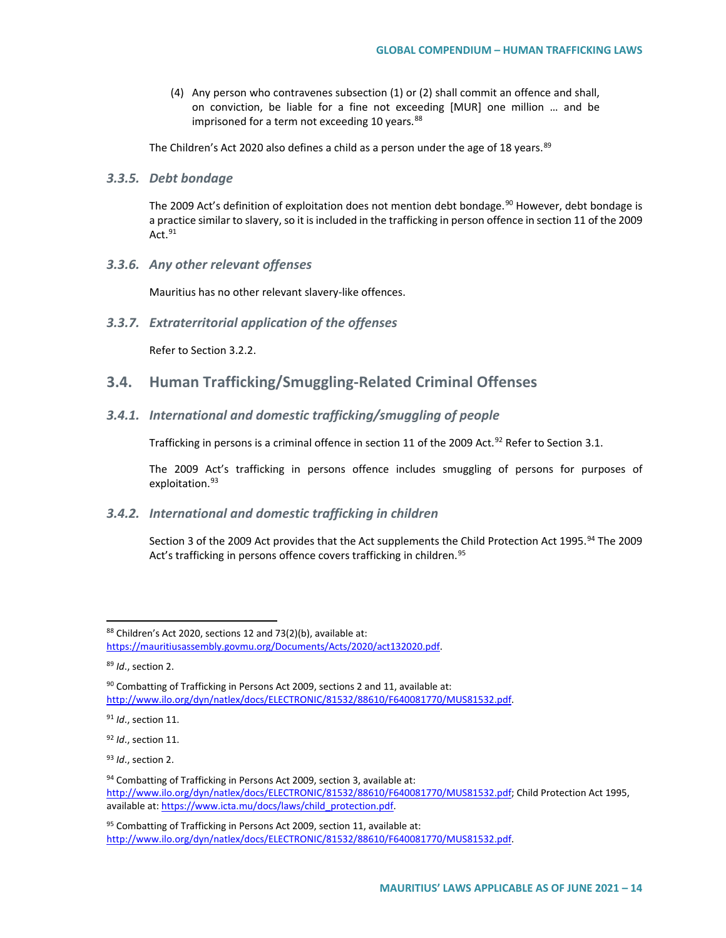(4) Any person who contravenes subsection (1) or (2) shall commit an offence and shall, on conviction, be liable for a fine not exceeding [MUR] one million … and be imprisoned for a term not exceeding 10 years.<sup>[88](#page-13-0)</sup>

The Children's Act 2020 also defines a child as a person under the age of 18 years.  $89$ 

#### *3.3.5. Debt bondage*

The 2009 Act's definition of exploitation does not mention debt bondage.<sup>[90](#page-13-2)</sup> However, debt bondage is a practice similar to slavery, so it is included in the trafficking in person offence in section 11 of the 2009 Act. $91$ 

*3.3.6. Any other relevant offenses*

Mauritius has no other relevant slavery-like offences.

*3.3.7. Extraterritorial application of the offenses*

Refer to Section 3.2.2.

## **3.4. Human Trafficking/Smuggling-Related Criminal Offenses**

#### *3.4.1. International and domestic trafficking/smuggling of people*

Trafficking in persons is a criminal offence in section 11 of the 2009 Act.<sup>[92](#page-13-4)</sup> Refer to Section 3.1.

The 2009 Act's trafficking in persons offence includes smuggling of persons for purposes of exploitation.<sup>[93](#page-13-5)</sup>

#### *3.4.2. International and domestic trafficking in children*

Section 3 of the 2009 Act provides that the Act supplements the Child Protection Act 1995.<sup>[94](#page-13-6)</sup> The 2009 Act's trafficking in persons offence covers trafficking in children.<sup>[95](#page-13-7)</sup>

<span id="page-13-0"></span><sup>88</sup> Children's Act 2020, sections 12 and 73(2)(b), available at: [https://mauritiusassembly.govmu.org/Documents/Acts/2020/act132020.pdf.](https://mauritiusassembly.govmu.org/Documents/Acts/2020/act132020.pdf)

<span id="page-13-1"></span><sup>89</sup> *Id*., section 2.

<span id="page-13-2"></span> $90$  Combatting of Trafficking in Persons Act 2009, sections 2 and 11, available at: [http://www.ilo.org/dyn/natlex/docs/ELECTRONIC/81532/88610/F640081770/MUS81532.pdf.](http://www.ilo.org/dyn/natlex/docs/ELECTRONIC/81532/88610/F640081770/MUS81532.pdf)

<span id="page-13-3"></span><sup>91</sup> *Id*., section 11.

<span id="page-13-4"></span><sup>92</sup> *Id*., section 11.

<span id="page-13-5"></span><sup>93</sup> *Id*., section 2.

<span id="page-13-6"></span><sup>94</sup> Combatting of Trafficking in Persons Act 2009, section 3, available at: [http://www.ilo.org/dyn/natlex/docs/ELECTRONIC/81532/88610/F640081770/MUS81532.pdf;](http://www.ilo.org/dyn/natlex/docs/ELECTRONIC/81532/88610/F640081770/MUS81532.pdf) Child Protection Act 1995, available at[: https://www.icta.mu/docs/laws/child\\_protection.pdf.](https://www.icta.mu/docs/laws/child_protection.pdf)

<span id="page-13-7"></span> $95$  Combatting of Trafficking in Persons Act 2009, section 11, available at: [http://www.ilo.org/dyn/natlex/docs/ELECTRONIC/81532/88610/F640081770/MUS81532.pdf.](http://www.ilo.org/dyn/natlex/docs/ELECTRONIC/81532/88610/F640081770/MUS81532.pdf)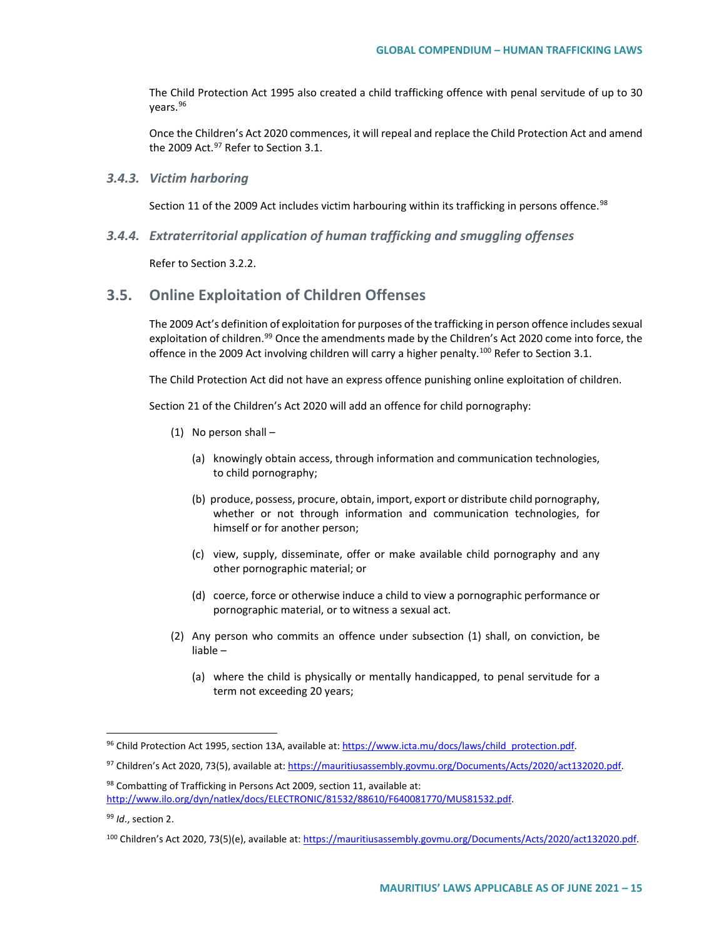The Child Protection Act 1995 also created a child trafficking offence with penal servitude of up to 30 years.[96](#page-14-0)

Once the Children's Act 2020 commences, it will repeal and replace the Child Protection Act and amend the 2009 Act. $97$  Refer to Section 3.1.

#### *3.4.3. Victim harboring*

Section 11 of the 2009 Act includes victim harbouring within its trafficking in persons offence.<sup>[98](#page-14-2)</sup>

*3.4.4. Extraterritorial application of human trafficking and smuggling offenses*

Refer to Section 3.2.2.

## **3.5. Online Exploitation of Children Offenses**

The 2009 Act's definition of exploitation for purposes of the trafficking in person offence includes sexual exploitation of children.<sup>[99](#page-14-3)</sup> Once the amendments made by the Children's Act 2020 come into force, the offence in the 2009 Act involving children will carry a higher penalty.<sup>[100](#page-14-4)</sup> Refer to Section 3.1.

The Child Protection Act did not have an express offence punishing online exploitation of children.

Section 21 of the Children's Act 2020 will add an offence for child pornography:

- (1) No person shall
	- (a) knowingly obtain access, through information and communication technologies, to child pornography;
	- (b) produce, possess, procure, obtain, import, export or distribute child pornography, whether or not through information and communication technologies, for himself or for another person;
	- (c) view, supply, disseminate, offer or make available child pornography and any other pornographic material; or
	- (d) coerce, force or otherwise induce a child to view a pornographic performance or pornographic material, or to witness a sexual act.
- (2) Any person who commits an offence under subsection (1) shall, on conviction, be liable –
	- (a) where the child is physically or mentally handicapped, to penal servitude for a term not exceeding 20 years;

<span id="page-14-0"></span><sup>96</sup> Child Protection Act 1995, section 13A, available at: [https://www.icta.mu/docs/laws/child\\_protection.pdf.](https://www.icta.mu/docs/laws/child_protection.pdf)

<span id="page-14-1"></span><sup>97</sup> Children's Act 2020, 73(5), available at: [https://mauritiusassembly.govmu.org/Documents/Acts/2020/act132020.pdf.](https://mauritiusassembly.govmu.org/Documents/Acts/2020/act132020.pdf)

<span id="page-14-2"></span><sup>98</sup> Combatting of Trafficking in Persons Act 2009, section 11, available at: [http://www.ilo.org/dyn/natlex/docs/ELECTRONIC/81532/88610/F640081770/MUS81532.pdf.](http://www.ilo.org/dyn/natlex/docs/ELECTRONIC/81532/88610/F640081770/MUS81532.pdf)

<span id="page-14-3"></span><sup>99</sup> *Id*., section 2.

<span id="page-14-4"></span><sup>100</sup> Children's Act 2020, 73(5)(e), available at: [https://mauritiusassembly.govmu.org/Documents/Acts/2020/act132020.pdf.](https://mauritiusassembly.govmu.org/Documents/Acts/2020/act132020.pdf)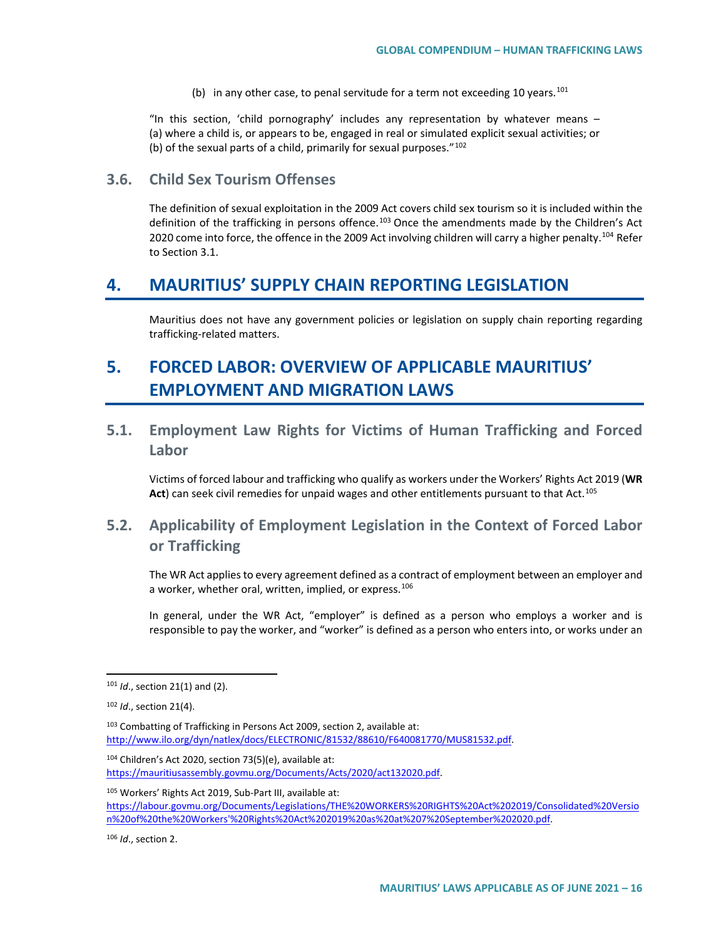(b) in any other case, to penal servitude for a term not exceeding 10 years.<sup>[101](#page-15-0)</sup>

"In this section, 'child pornography' includes any representation by whatever means  $-$ (a) where a child is, or appears to be, engaged in real or simulated explicit sexual activities; or (b) of the sexual parts of a child, primarily for sexual purposes." $102$ 

## **3.6. Child Sex Tourism Offenses**

The definition of sexual exploitation in the 2009 Act covers child sex tourism so it is included within the definition of the trafficking in persons offence.<sup>[103](#page-15-2)</sup> Once the amendments made by the Children's Act 2020 come into force, the offence in the 2009 Act involving children will carry a higher penalty.<sup>[104](#page-15-3)</sup> Refer to Section 3.1.

# **4. MAURITIUS' SUPPLY CHAIN REPORTING LEGISLATION**

Mauritius does not have any government policies or legislation on supply chain reporting regarding trafficking-related matters.

# **5. FORCED LABOR: OVERVIEW OF APPLICABLE MAURITIUS' EMPLOYMENT AND MIGRATION LAWS**

**5.1. Employment Law Rights for Victims of Human Trafficking and Forced Labor**

Victims of forced labour and trafficking who qualify as workers under the Workers' Rights Act 2019 (**WR Act**) can seek civil remedies for unpaid wages and other entitlements pursuant to that Act.[105](#page-15-4)

# **5.2. Applicability of Employment Legislation in the Context of Forced Labor or Trafficking**

The WR Act applies to every agreement defined as a contract of employment between an employer and a worker, whether oral, written, implied, or express.<sup>[106](#page-15-5)</sup>

In general, under the WR Act, "employer" is defined as a person who employs a worker and is responsible to pay the worker, and "worker" is defined as a person who enters into, or works under an

<span id="page-15-2"></span>103 Combatting of Trafficking in Persons Act 2009, section 2, available at: [http://www.ilo.org/dyn/natlex/docs/ELECTRONIC/81532/88610/F640081770/MUS81532.pdf.](http://www.ilo.org/dyn/natlex/docs/ELECTRONIC/81532/88610/F640081770/MUS81532.pdf)

<span id="page-15-3"></span><sup>104</sup> Children's Act 2020, section 73(5)(e), available at: [https://mauritiusassembly.govmu.org/Documents/Acts/2020/act132020.pdf.](https://mauritiusassembly.govmu.org/Documents/Acts/2020/act132020.pdf)

<span id="page-15-4"></span><sup>105</sup> Workers' Rights Act 2019, Sub-Part III, available at:

[https://labour.govmu.org/Documents/Legislations/THE%20WORKERS%20RIGHTS%20Act%202019/Consolidated%20Versio](https://labour.govmu.org/Documents/Legislations/THE%20WORKERS%20RIGHTS%20Act%202019/Consolidated%20Version%20of%20the%20Workers) [n%20of%20the%20Workers'%20Rights%20Act%202019%20as%20at%207%20September%202020.pdf.](https://labour.govmu.org/Documents/Legislations/THE%20WORKERS%20RIGHTS%20Act%202019/Consolidated%20Version%20of%20the%20Workers)

<span id="page-15-5"></span><sup>106</sup> *Id*., section 2.

<span id="page-15-0"></span> <sup>101</sup> *Id*., section 21(1) and (2).

<span id="page-15-1"></span><sup>102</sup> *Id*., section 21(4).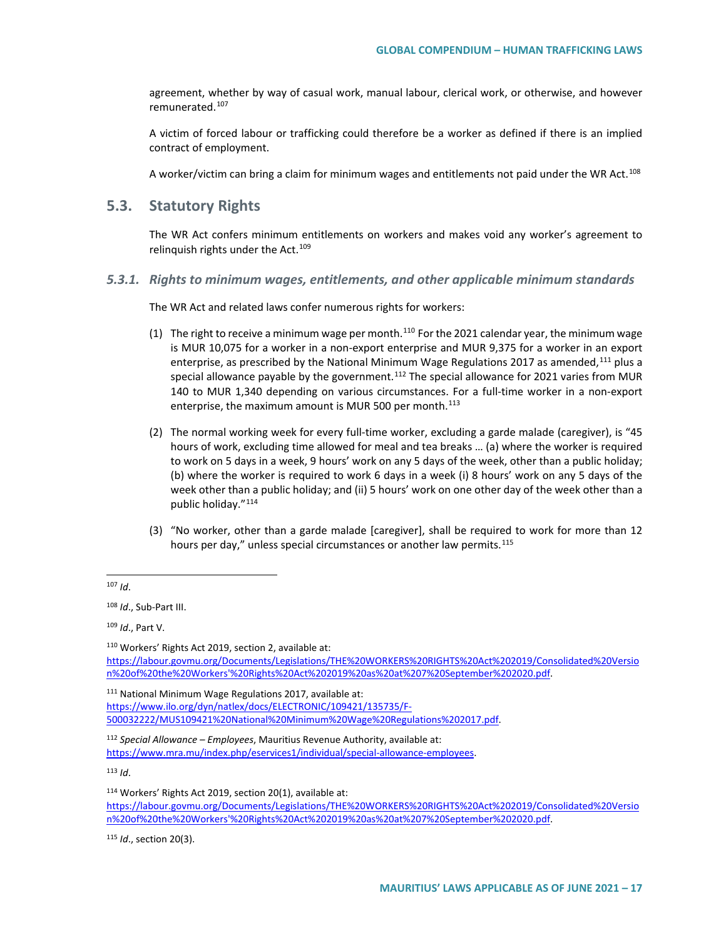agreement, whether by way of casual work, manual labour, clerical work, or otherwise, and however remunerated.<sup>[107](#page-16-0)</sup>

A victim of forced labour or trafficking could therefore be a worker as defined if there is an implied contract of employment.

A worker/victim can bring a claim for minimum wages and entitlements not paid under the WR Act.[108](#page-16-1)

### **5.3. Statutory Rights**

The WR Act confers minimum entitlements on workers and makes void any worker's agreement to relinquish rights under the Act.<sup>109</sup>

*5.3.1. Rights to minimum wages, entitlements, and other applicable minimum standards*

The WR Act and related laws confer numerous rights for workers:

- (1) The right to receive a minimum wage per month.<sup>[110](#page-16-3)</sup> For the 2021 calendar year, the minimum wage is MUR 10,075 for a worker in a non-export enterprise and MUR 9,375 for a worker in an export enterprise, as prescribed by the National Minimum Wage Regulations 2017 as amended,[111](#page-16-4) plus a special allowance payable by the government. $112$  The special allowance for 2021 varies from MUR 140 to MUR 1,340 depending on various circumstances. For a full-time worker in a non-export enterprise, the maximum amount is MUR 500 per month. $113$
- (2) The normal working week for every full-time worker, excluding a garde malade (caregiver), is "45 hours of work, excluding time allowed for meal and tea breaks … (a) where the worker is required to work on 5 days in a week, 9 hours' work on any 5 days of the week, other than a public holiday; (b) where the worker is required to work 6 days in a week (i) 8 hours' work on any 5 days of the week other than a public holiday; and (ii) 5 hours' work on one other day of the week other than a public holiday."[114](#page-16-7)
- (3) "No worker, other than a garde malade [caregiver], shall be required to work for more than 12 hours per day," unless special circumstances or another law permits.<sup>[115](#page-16-8)</sup>

<span id="page-16-2"></span><sup>109</sup> *Id*., Part V.

<span id="page-16-4"></span><sup>111</sup> National Minimum Wage Regulations 2017, available at: [https://www.ilo.org/dyn/natlex/docs/ELECTRONIC/109421/135735/F-](https://www.ilo.org/dyn/natlex/docs/ELECTRONIC/109421/135735/F-500032222/MUS109421%20National%20Minimum%20Wage%20Regulations%202017.pdf)[500032222/MUS109421%20National%20Minimum%20Wage%20Regulations%202017.pdf.](https://www.ilo.org/dyn/natlex/docs/ELECTRONIC/109421/135735/F-500032222/MUS109421%20National%20Minimum%20Wage%20Regulations%202017.pdf) 

<span id="page-16-5"></span><sup>112</sup> *Special Allowance – Employees*, Mauritius Revenue Authority, available at: [https://www.mra.mu/index.php/eservices1/individual/special-allowance-employees.](https://www.mra.mu/index.php/eservices1/individual/special-allowance-employees)

<span id="page-16-6"></span><sup>113</sup> *Id*.

[https://labour.govmu.org/Documents/Legislations/THE%20WORKERS%20RIGHTS%20Act%202019/Consolidated%20Versio](https://labour.govmu.org/Documents/Legislations/THE%20WORKERS%20RIGHTS%20Act%202019/Consolidated%20Version%20of%20the%20Workers) [n%20of%20the%20Workers'%20Rights%20Act%202019%20as%20at%207%20September%202020.pdf.](https://labour.govmu.org/Documents/Legislations/THE%20WORKERS%20RIGHTS%20Act%202019/Consolidated%20Version%20of%20the%20Workers)

<span id="page-16-8"></span><sup>115</sup> *Id*., section 20(3).

<span id="page-16-0"></span> <sup>107</sup> *Id*.

<span id="page-16-1"></span><sup>108</sup> *Id*., Sub-Part III.

<span id="page-16-3"></span><sup>110</sup> Workers' Rights Act 2019, section 2, available at: [https://labour.govmu.org/Documents/Legislations/THE%20WORKERS%20RIGHTS%20Act%202019/Consolidated%20Versio](https://labour.govmu.org/Documents/Legislations/THE%20WORKERS%20RIGHTS%20Act%202019/Consolidated%20Version%20of%20the%20Workers) [n%20of%20the%20Workers'%20Rights%20Act%202019%20as%20at%207%20September%202020.pdf.](https://labour.govmu.org/Documents/Legislations/THE%20WORKERS%20RIGHTS%20Act%202019/Consolidated%20Version%20of%20the%20Workers)

<span id="page-16-7"></span><sup>114</sup> Workers' Rights Act 2019, section 20(1), available at: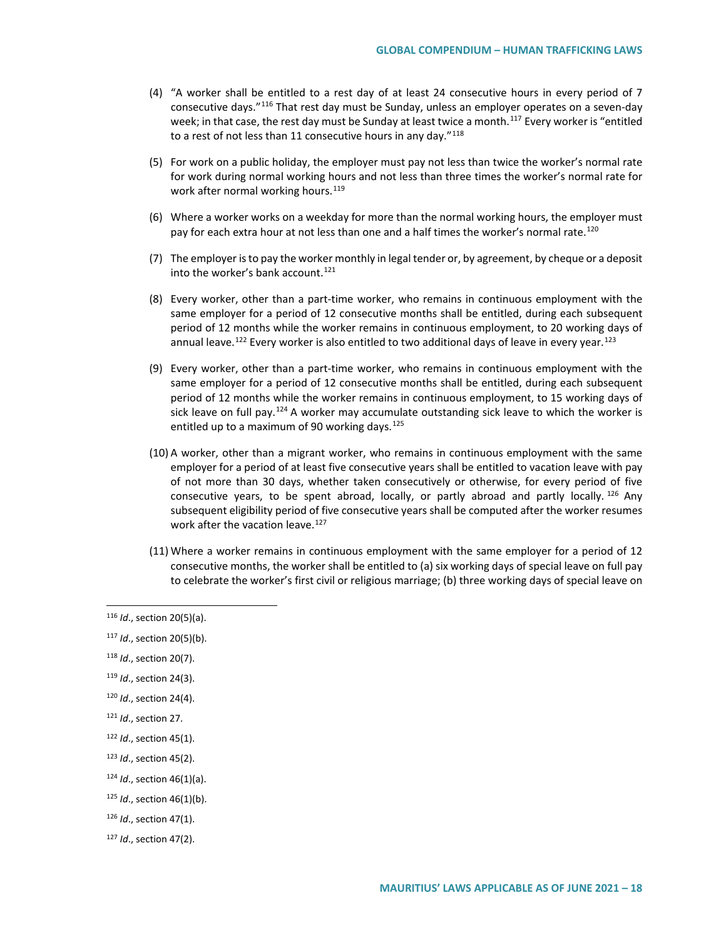- (4) "A worker shall be entitled to a rest day of at least 24 consecutive hours in every period of 7 consecutive days."[116](#page-17-0) That rest day must be Sunday, unless an employer operates on a seven-day week; in that case, the rest day must be Sunday at least twice a month.<sup>[117](#page-17-1)</sup> Every worker is "entitled to a rest of not less than 11 consecutive hours in any day."<sup>[118](#page-17-2)</sup>
- (5) For work on a public holiday, the employer must pay not less than twice the worker's normal rate for work during normal working hours and not less than three times the worker's normal rate for work after normal working hours.<sup>[119](#page-17-3)</sup>
- (6) Where a worker works on a weekday for more than the normal working hours, the employer must pay for each extra hour at not less than one and a half times the worker's normal rate.<sup>[120](#page-17-4)</sup>
- (7) The employer is to pay the worker monthly in legal tender or, by agreement, by cheque or a deposit into the worker's bank account. $121$
- (8) Every worker, other than a part-time worker, who remains in continuous employment with the same employer for a period of 12 consecutive months shall be entitled, during each subsequent period of 12 months while the worker remains in continuous employment, to 20 working days of annual leave.<sup>122</sup> Every worker is also entitled to two additional days of leave in every year.<sup>[123](#page-17-7)</sup>
- (9) Every worker, other than a part-time worker, who remains in continuous employment with the same employer for a period of 12 consecutive months shall be entitled, during each subsequent period of 12 months while the worker remains in continuous employment, to 15 working days of sick leave on full pay.<sup>[124](#page-17-8)</sup> A worker may accumulate outstanding sick leave to which the worker is entitled up to a maximum of 90 working days.  $125$
- (10) A worker, other than a migrant worker, who remains in continuous employment with the same employer for a period of at least five consecutive years shall be entitled to vacation leave with pay of not more than 30 days, whether taken consecutively or otherwise, for every period of five consecutive years, to be spent abroad, locally, or partly abroad and partly locally.  $^{126}$  $^{126}$  $^{126}$  Any subsequent eligibility period of five consecutive years shall be computed after the worker resumes work after the vacation leave.<sup>[127](#page-17-11)</sup>
- (11) Where a worker remains in continuous employment with the same employer for a period of 12 consecutive months, the worker shall be entitled to (a) six working days of special leave on full pay to celebrate the worker's first civil or religious marriage; (b) three working days of special leave on

- <span id="page-17-1"></span><sup>117</sup> *Id*., section 20(5)(b).
- <span id="page-17-2"></span><sup>118</sup> *Id*., section 20(7).
- <span id="page-17-3"></span><sup>119</sup> *Id*., section 24(3).
- <span id="page-17-4"></span><sup>120</sup> *Id*., section 24(4).
- <span id="page-17-5"></span><sup>121</sup> *Id*., section 27.
- <span id="page-17-6"></span><sup>122</sup> *Id*., section 45(1).
- <span id="page-17-7"></span><sup>123</sup> *Id*., section 45(2).
- <span id="page-17-8"></span><sup>124</sup> *Id*., section 46(1)(a).
- <span id="page-17-9"></span><sup>125</sup> *Id*., section 46(1)(b).
- <span id="page-17-10"></span><sup>126</sup> *Id*., section 47(1).
- <span id="page-17-11"></span><sup>127</sup> *Id*., section 47(2).

<span id="page-17-0"></span> <sup>116</sup> *Id*., section 20(5)(a).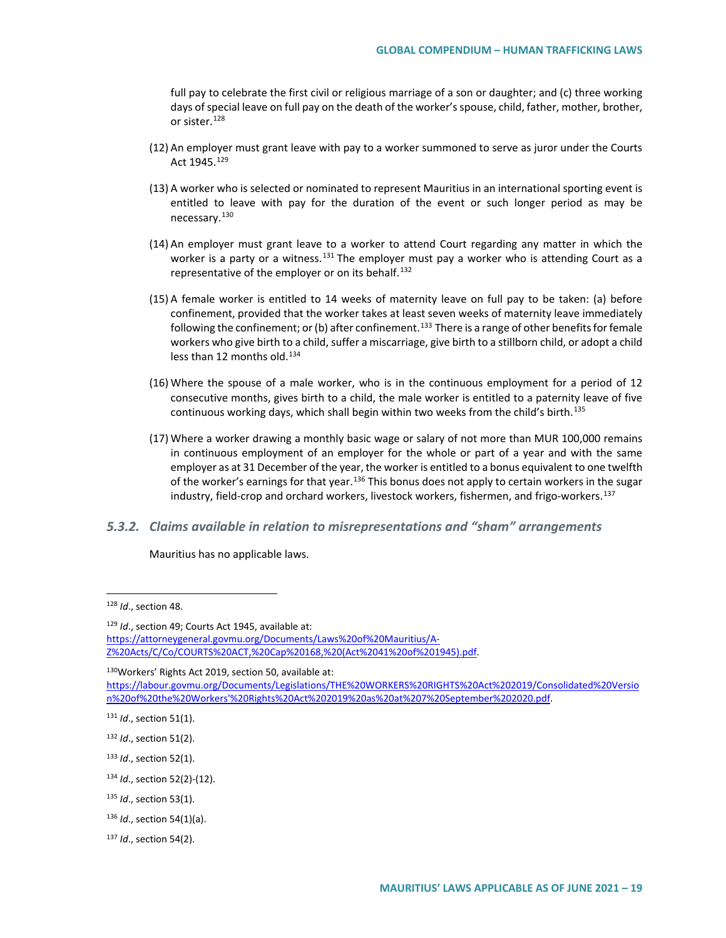full pay to celebrate the first civil or religious marriage of a son or daughter; and (c) three working days of special leave on full pay on the death of the worker's spouse, child, father, mother, brother, or sister.<sup>[128](#page-18-0)</sup>

- (12) An employer must grant leave with pay to a worker summoned to serve as juror under the Courts Act 1945.[129](#page-18-1)
- (13) A worker who is selected or nominated to represent Mauritius in an international sporting event is entitled to leave with pay for the duration of the event or such longer period as may be necessary.[130](#page-18-2)
- (14) An employer must grant leave to a worker to attend Court regarding any matter in which the worker is a party or a witness.<sup>[131](#page-18-3)</sup> The employer must pay a worker who is attending Court as a representative of the employer or on its behalf.<sup>[132](#page-18-4)</sup>
- (15) A female worker is entitled to 14 weeks of maternity leave on full pay to be taken: (a) before confinement, provided that the worker takes at least seven weeks of maternity leave immediately following the confinement; or (b) after confinement.<sup>[133](#page-18-5)</sup> There is a range of other benefits for female workers who give birth to a child, suffer a miscarriage, give birth to a stillborn child, or adopt a child less than 12 months old.<sup>[134](#page-18-6)</sup>
- (16) Where the spouse of a male worker, who is in the continuous employment for a period of 12 consecutive months, gives birth to a child, the male worker is entitled to a paternity leave of five continuous working days, which shall begin within two weeks from the child's birth.<sup>[135](#page-18-7)</sup>
- (17) Where a worker drawing a monthly basic wage or salary of not more than MUR 100,000 remains in continuous employment of an employer for the whole or part of a year and with the same employer as at 31 December of the year, the worker is entitled to a bonus equivalent to one twelfth of the worker's earnings for that year.<sup>[136](#page-18-8)</sup> This bonus does not apply to certain workers in the sugar industry, field-crop and orchard workers, livestock workers, fishermen, and frigo-workers.<sup>[137](#page-18-9)</sup>
- *5.3.2. Claims available in relation to misrepresentations and "sham" arrangements*

Mauritius has no applicable laws.

<span id="page-18-2"></span>130 Workers' Rights Act 2019, section 50, available at:

<span id="page-18-0"></span> <sup>128</sup> *Id*., section 48.

<span id="page-18-1"></span><sup>129</sup> *Id*., section 49; Courts Act 1945, available at: [https://attorneygeneral.govmu.org/Documents/Laws%20of%20Mauritius/A-](https://attorneygeneral.govmu.org/Documents/Laws%20of%20Mauritius/A-Z%20Acts/C/Co/COURTS%20ACT,%20Cap%20168,%20(Act%2041%20of%201945).pdf)[Z%20Acts/C/Co/COURTS%20ACT,%20Cap%20168,%20\(Act%2041%20of%201945\).pdf.](https://attorneygeneral.govmu.org/Documents/Laws%20of%20Mauritius/A-Z%20Acts/C/Co/COURTS%20ACT,%20Cap%20168,%20(Act%2041%20of%201945).pdf)

[https://labour.govmu.org/Documents/Legislations/THE%20WORKERS%20RIGHTS%20Act%202019/Consolidated%20Versio](https://labour.govmu.org/Documents/Legislations/THE%20WORKERS%20RIGHTS%20Act%202019/Consolidated%20Version%20of%20the%20Workers) [n%20of%20the%20Workers'%20Rights%20Act%202019%20as%20at%207%20September%202020.pdf.](https://labour.govmu.org/Documents/Legislations/THE%20WORKERS%20RIGHTS%20Act%202019/Consolidated%20Version%20of%20the%20Workers)

<span id="page-18-3"></span><sup>131</sup> *Id*., section 51(1).

<span id="page-18-4"></span><sup>132</sup> *Id*., section 51(2).

<span id="page-18-5"></span><sup>133</sup> *Id*., section 52(1).

<span id="page-18-6"></span><sup>134</sup> *Id*., section 52(2)-(12).

<span id="page-18-7"></span><sup>135</sup> *Id*., section 53(1).

<span id="page-18-8"></span><sup>136</sup> *Id*., section 54(1)(a).

<span id="page-18-9"></span><sup>137</sup> *Id*., section 54(2).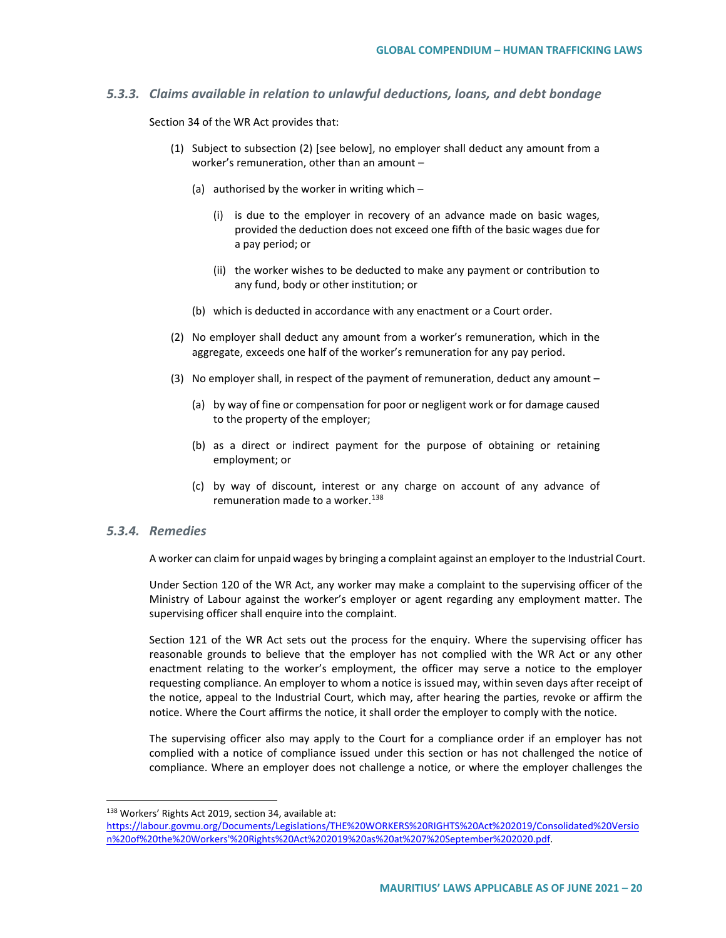#### *5.3.3. Claims available in relation to unlawful deductions, loans, and debt bondage*

Section 34 of the WR Act provides that:

- (1) Subject to subsection (2) [see below], no employer shall deduct any amount from a worker's remuneration, other than an amount –
	- (a) authorised by the worker in writing which  $-$ 
		- (i) is due to the employer in recovery of an advance made on basic wages, provided the deduction does not exceed one fifth of the basic wages due for a pay period; or
		- (ii) the worker wishes to be deducted to make any payment or contribution to any fund, body or other institution; or
	- (b) which is deducted in accordance with any enactment or a Court order.
- (2) No employer shall deduct any amount from a worker's remuneration, which in the aggregate, exceeds one half of the worker's remuneration for any pay period.
- (3) No employer shall, in respect of the payment of remuneration, deduct any amount
	- (a) by way of fine or compensation for poor or negligent work or for damage caused to the property of the employer;
	- (b) as a direct or indirect payment for the purpose of obtaining or retaining employment; or
	- (c) by way of discount, interest or any charge on account of any advance of remuneration made to a worker.<sup>[138](#page-19-0)</sup>

#### *5.3.4. Remedies*

A worker can claim for unpaid wages by bringing a complaint against an employer to the Industrial Court.

Under Section 120 of the WR Act, any worker may make a complaint to the supervising officer of the Ministry of Labour against the worker's employer or agent regarding any employment matter. The supervising officer shall enquire into the complaint.

Section 121 of the WR Act sets out the process for the enquiry. Where the supervising officer has reasonable grounds to believe that the employer has not complied with the WR Act or any other enactment relating to the worker's employment, the officer may serve a notice to the employer requesting compliance. An employer to whom a notice is issued may, within seven days after receipt of the notice, appeal to the Industrial Court, which may, after hearing the parties, revoke or affirm the notice. Where the Court affirms the notice, it shall order the employer to comply with the notice.

The supervising officer also may apply to the Court for a compliance order if an employer has not complied with a notice of compliance issued under this section or has not challenged the notice of compliance. Where an employer does not challenge a notice, or where the employer challenges the

<span id="page-19-0"></span> <sup>138</sup> Workers' Rights Act 2019, section 34, available at:

[https://labour.govmu.org/Documents/Legislations/THE%20WORKERS%20RIGHTS%20Act%202019/Consolidated%20Versio](https://labour.govmu.org/Documents/Legislations/THE%20WORKERS%20RIGHTS%20Act%202019/Consolidated%20Version%20of%20the%20Workers) [n%20of%20the%20Workers'%20Rights%20Act%202019%20as%20at%207%20September%202020.pdf.](https://labour.govmu.org/Documents/Legislations/THE%20WORKERS%20RIGHTS%20Act%202019/Consolidated%20Version%20of%20the%20Workers)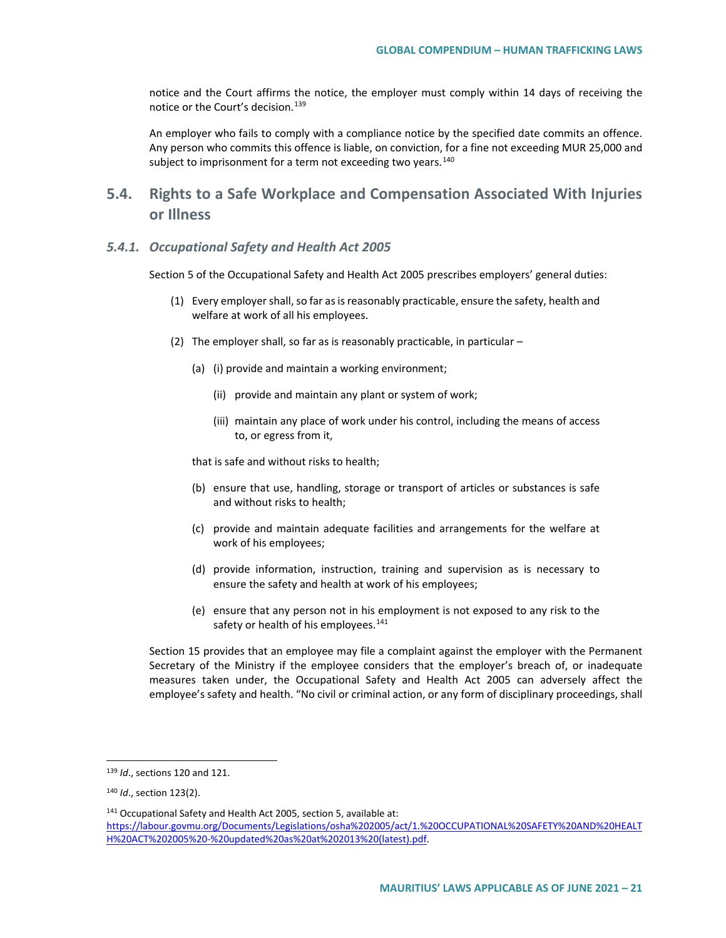notice and the Court affirms the notice, the employer must comply within 14 days of receiving the notice or the Court's decision.[139](#page-20-0)

An employer who fails to comply with a compliance notice by the specified date commits an offence. Any person who commits this offence is liable, on conviction, for a fine not exceeding MUR 25,000 and subject to imprisonment for a term not exceeding two years.<sup>[140](#page-20-1)</sup>

# **5.4. Rights to a Safe Workplace and Compensation Associated With Injuries or Illness**

#### *5.4.1. Occupational Safety and Health Act 2005*

Section 5 of the Occupational Safety and Health Act 2005 prescribes employers' general duties:

- (1) Every employer shall, so far as is reasonably practicable, ensure the safety, health and welfare at work of all his employees.
- (2) The employer shall, so far as is reasonably practicable, in particular
	- (a) (i) provide and maintain a working environment;
		- (ii) provide and maintain any plant or system of work;
		- (iii) maintain any place of work under his control, including the means of access to, or egress from it,

that is safe and without risks to health;

- (b) ensure that use, handling, storage or transport of articles or substances is safe and without risks to health;
- (c) provide and maintain adequate facilities and arrangements for the welfare at work of his employees;
- (d) provide information, instruction, training and supervision as is necessary to ensure the safety and health at work of his employees;
- (e) ensure that any person not in his employment is not exposed to any risk to the safety or health of his employees.<sup>[141](#page-20-2)</sup>

Section 15 provides that an employee may file a complaint against the employer with the Permanent Secretary of the Ministry if the employee considers that the employer's breach of, or inadequate measures taken under, the Occupational Safety and Health Act 2005 can adversely affect the employee's safety and health. "No civil or criminal action, or any form of disciplinary proceedings, shall

<span id="page-20-0"></span> <sup>139</sup> *Id*., sections 120 and 121.

<span id="page-20-1"></span><sup>140</sup> *Id*., section 123(2).

<span id="page-20-2"></span><sup>141</sup> Occupational Safety and Health Act 2005, section 5, available at: [https://labour.govmu.org/Documents/Legislations/osha%202005/act/1.%20OCCUPATIONAL%20SAFETY%20AND%20HEALT](https://labour.govmu.org/Documents/Legislations/osha%202005/act/1.%20OCCUPATIONAL%20SAFETY%20AND%20HEALTH%20ACT%202005%20-%20updated%20as%20at%202013%20(latest).pdf) [H%20ACT%202005%20-%20updated%20as%20at%202013%20\(latest\).pdf.](https://labour.govmu.org/Documents/Legislations/osha%202005/act/1.%20OCCUPATIONAL%20SAFETY%20AND%20HEALTH%20ACT%202005%20-%20updated%20as%20at%202013%20(latest).pdf)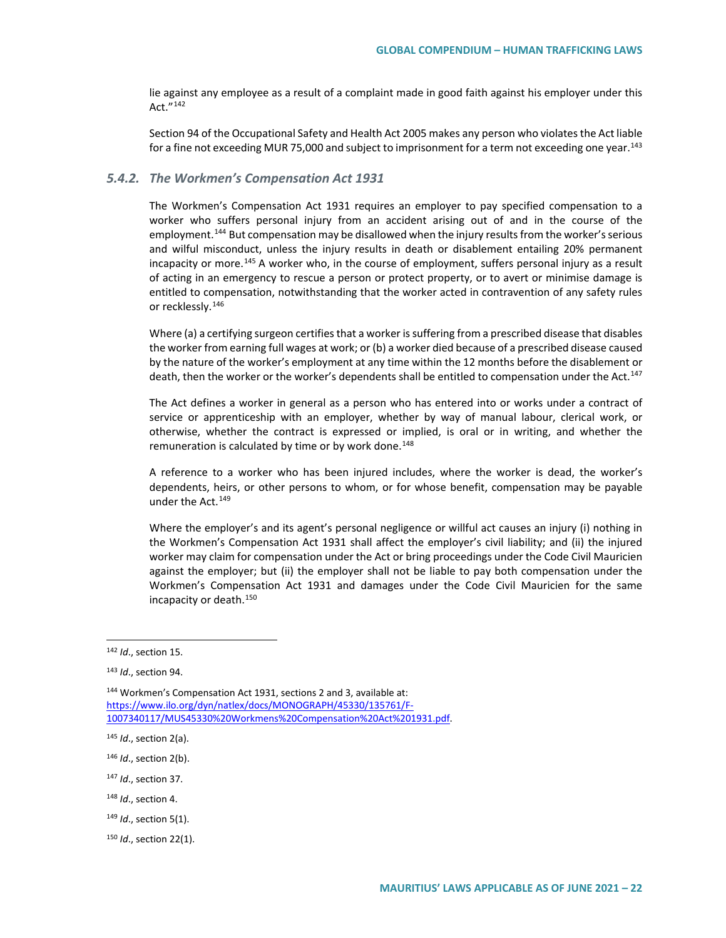lie against any employee as a result of a complaint made in good faith against his employer under this Act."[142](#page-21-0)

Section 94 of the Occupational Safety and Health Act 2005 makes any person who violates the Act liable for a fine not exceeding MUR 75,000 and subject to imprisonment for a term not exceeding one year.<sup>[143](#page-21-1)</sup>

#### *5.4.2. The Workmen's Compensation Act 1931*

The Workmen's Compensation Act 1931 requires an employer to pay specified compensation to a worker who suffers personal injury from an accident arising out of and in the course of the employment.<sup>[144](#page-21-2)</sup> But compensation may be disallowed when the injury results from the worker's serious and wilful misconduct, unless the injury results in death or disablement entailing 20% permanent incapacity or more.<sup>[145](#page-21-3)</sup> A worker who, in the course of employment, suffers personal injury as a result of acting in an emergency to rescue a person or protect property, or to avert or minimise damage is entitled to compensation, notwithstanding that the worker acted in contravention of any safety rules or recklessly.<sup>[146](#page-21-4)</sup>

Where (a) a certifying surgeon certifies that a worker is suffering from a prescribed disease that disables the worker from earning full wages at work; or (b) a worker died because of a prescribed disease caused by the nature of the worker's employment at any time within the 12 months before the disablement or death, then the worker or the worker's dependents shall be entitled to compensation under the Act.<sup>[147](#page-21-5)</sup>

The Act defines a worker in general as a person who has entered into or works under a contract of service or apprenticeship with an employer, whether by way of manual labour, clerical work, or otherwise, whether the contract is expressed or implied, is oral or in writing, and whether the remuneration is calculated by time or by work done.<sup>[148](#page-21-6)</sup>

A reference to a worker who has been injured includes, where the worker is dead, the worker's dependents, heirs, or other persons to whom, or for whose benefit, compensation may be payable under the Act.<sup>[149](#page-21-7)</sup>

Where the employer's and its agent's personal negligence or willful act causes an injury (i) nothing in the Workmen's Compensation Act 1931 shall affect the employer's civil liability; and (ii) the injured worker may claim for compensation under the Act or bring proceedings under the Code Civil Mauricien against the employer; but (ii) the employer shall not be liable to pay both compensation under the Workmen's Compensation Act 1931 and damages under the Code Civil Mauricien for the same incapacity or death.[150](#page-21-8)

<span id="page-21-2"></span><sup>144</sup> Workmen's Compensation Act 1931, sections 2 and 3, available at: [https://www.ilo.org/dyn/natlex/docs/MONOGRAPH/45330/135761/F-](https://www.ilo.org/dyn/natlex/docs/MONOGRAPH/45330/135761/F-1007340117/MUS45330%20Workmens%20Compensation%20Act%201931.pdf)[1007340117/MUS45330%20Workmens%20Compensation%20Act%201931.pdf.](https://www.ilo.org/dyn/natlex/docs/MONOGRAPH/45330/135761/F-1007340117/MUS45330%20Workmens%20Compensation%20Act%201931.pdf) 

- <span id="page-21-6"></span><sup>148</sup> *Id*., section 4.
- <span id="page-21-7"></span><sup>149</sup> *Id*., section 5(1).

<span id="page-21-0"></span> <sup>142</sup> *Id*., section 15.

<span id="page-21-1"></span><sup>143</sup> *Id*., section 94.

<span id="page-21-3"></span><sup>145</sup> *Id*., section 2(a).

<span id="page-21-4"></span><sup>146</sup> *Id*., section 2(b).

<span id="page-21-5"></span><sup>147</sup> *Id*., section 37.

<span id="page-21-8"></span><sup>150</sup> *Id*., section 22(1).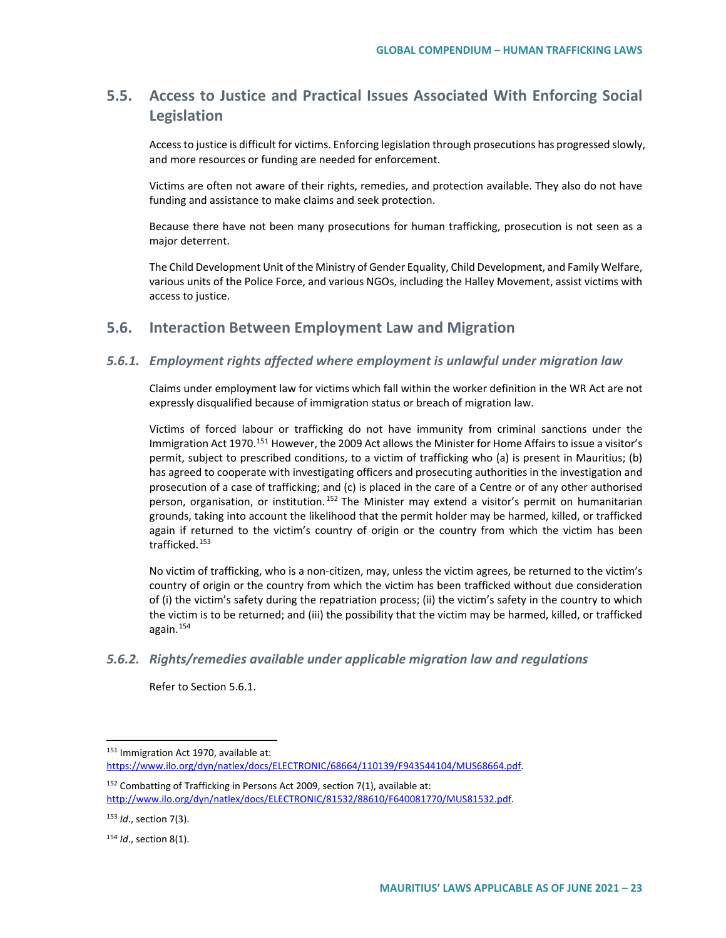# **5.5. Access to Justice and Practical Issues Associated With Enforcing Social Legislation**

Access to justice is difficult for victims. Enforcing legislation through prosecutions has progressed slowly, and more resources or funding are needed for enforcement.

Victims are often not aware of their rights, remedies, and protection available. They also do not have funding and assistance to make claims and seek protection.

Because there have not been many prosecutions for human trafficking, prosecution is not seen as a major deterrent.

The Child Development Unit of the Ministry of Gender Equality, Child Development, and Family Welfare, various units of the Police Force, and various NGOs, including the Halley Movement, assist victims with access to justice.

## **5.6. Interaction Between Employment Law and Migration**

### *5.6.1. Employment rights affected where employment is unlawful under migration law*

Claims under employment law for victims which fall within the worker definition in the WR Act are not expressly disqualified because of immigration status or breach of migration law.

Victims of forced labour or trafficking do not have immunity from criminal sanctions under the Immigration Act 1970.<sup>[151](#page-22-0)</sup> However, the 2009 Act allows the Minister for Home Affairs to issue a visitor's permit, subject to prescribed conditions, to a victim of trafficking who (a) is present in Mauritius; (b) has agreed to cooperate with investigating officers and prosecuting authorities in the investigation and prosecution of a case of trafficking; and (c) is placed in the care of a Centre or of any other authorised person, organisation, or institution.<sup>[152](#page-22-1)</sup> The Minister may extend a visitor's permit on humanitarian grounds, taking into account the likelihood that the permit holder may be harmed, killed, or trafficked again if returned to the victim's country of origin or the country from which the victim has been trafficked.<sup>[153](#page-22-2)</sup>

No victim of trafficking, who is a non-citizen, may, unless the victim agrees, be returned to the victim's country of origin or the country from which the victim has been trafficked without due consideration of (i) the victim's safety during the repatriation process; (ii) the victim's safety in the country to which the victim is to be returned; and (iii) the possibility that the victim may be harmed, killed, or trafficked again.[154](#page-22-3)

#### *5.6.2. Rights/remedies available under applicable migration law and regulations*

Refer to Section 5.6.1.

<span id="page-22-0"></span><sup>151</sup> Immigration Act 1970, available at: [https://www.ilo.org/dyn/natlex/docs/ELECTRONIC/68664/110139/F943544104/MUS68664.pdf.](https://www.ilo.org/dyn/natlex/docs/ELECTRONIC/68664/110139/F943544104/MUS68664.pdf) 

<span id="page-22-1"></span><sup>&</sup>lt;sup>152</sup> Combatting of Trafficking in Persons Act 2009, section 7(1), available at: [http://www.ilo.org/dyn/natlex/docs/ELECTRONIC/81532/88610/F640081770/MUS81532.pdf.](http://www.ilo.org/dyn/natlex/docs/ELECTRONIC/81532/88610/F640081770/MUS81532.pdf)

<span id="page-22-2"></span><sup>153</sup> *Id*., section 7(3).

<span id="page-22-3"></span><sup>154</sup> *Id*., section 8(1).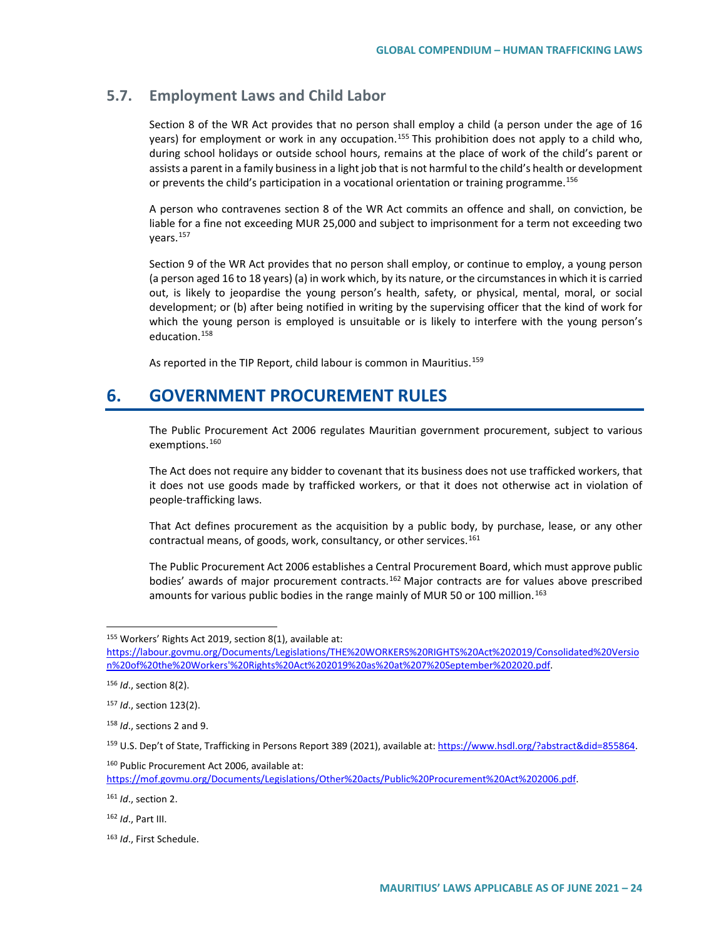# **5.7. Employment Laws and Child Labor**

Section 8 of the WR Act provides that no person shall employ a child (a person under the age of 16 years) for employment or work in any occupation.<sup>[155](#page-23-0)</sup> This prohibition does not apply to a child who, during school holidays or outside school hours, remains at the place of work of the child's parent or assists a parent in a family business in a light job that is not harmful to the child's health or development or prevents the child's participation in a vocational orientation or training programme.<sup>[156](#page-23-1)</sup>

A person who contravenes section 8 of the WR Act commits an offence and shall, on conviction, be liable for a fine not exceeding MUR 25,000 and subject to imprisonment for a term not exceeding two years.[157](#page-23-2)

Section 9 of the WR Act provides that no person shall employ, or continue to employ, a young person (a person aged 16 to 18 years) (a) in work which, by its nature, or the circumstances in which it is carried out, is likely to jeopardise the young person's health, safety, or physical, mental, moral, or social development; or (b) after being notified in writing by the supervising officer that the kind of work for which the young person is employed is unsuitable or is likely to interfere with the young person's education.[158](#page-23-3)

As reported in the TIP Report, child labour is common in Mauritius.<sup>[159](#page-23-4)</sup>

# **6. GOVERNMENT PROCUREMENT RULES**

The Public Procurement Act 2006 regulates Mauritian government procurement, subject to various exemptions.<sup>[160](#page-23-5)</sup>

The Act does not require any bidder to covenant that its business does not use trafficked workers, that it does not use goods made by trafficked workers, or that it does not otherwise act in violation of people-trafficking laws.

That Act defines procurement as the acquisition by a public body, by purchase, lease, or any other contractual means, of goods, work, consultancy, or other services.<sup>[161](#page-23-6)</sup>

The Public Procurement Act 2006 establishes a Central Procurement Board, which must approve public bodies' awards of major procurement contracts.<sup>162</sup> Major contracts are for values above prescribed amounts for various public bodies in the range mainly of MUR 50 or 100 million.<sup>[163](#page-23-8)</sup>

<span id="page-23-5"></span><sup>160</sup> Public Procurement Act 2006, available at: [https://mof.govmu.org/Documents/Legislations/Other%20acts/Public%20Procurement%20Act%202006.pdf.](https://mof.govmu.org/Documents/Legislations/Other%20acts/Public%20Procurement%20Act%202006.pdf)

<span id="page-23-6"></span><sup>161</sup> *Id*., section 2.

<span id="page-23-7"></span><sup>162</sup> *Id*., Part III.

<span id="page-23-0"></span> <sup>155</sup> Workers' Rights Act 2019, section 8(1), available at:

[https://labour.govmu.org/Documents/Legislations/THE%20WORKERS%20RIGHTS%20Act%202019/Consolidated%20Versio](https://labour.govmu.org/Documents/Legislations/THE%20WORKERS%20RIGHTS%20Act%202019/Consolidated%20Version%20of%20the%20Workers) [n%20of%20the%20Workers'%20Rights%20Act%202019%20as%20at%207%20September%202020.pdf.](https://labour.govmu.org/Documents/Legislations/THE%20WORKERS%20RIGHTS%20Act%202019/Consolidated%20Version%20of%20the%20Workers)

<span id="page-23-1"></span><sup>156</sup> *Id*., section 8(2).

<span id="page-23-2"></span><sup>157</sup> *Id*., section 123(2).

<span id="page-23-3"></span><sup>158</sup> *Id*., sections 2 and 9.

<span id="page-23-4"></span><sup>159</sup> U.S. Dep't of State, Trafficking in Persons Report 389 (2021), available at[: https://www.hsdl.org/?abstract&did=855864.](https://www.hsdl.org/?abstract&did=855864)

<span id="page-23-8"></span><sup>163</sup> *Id*., First Schedule.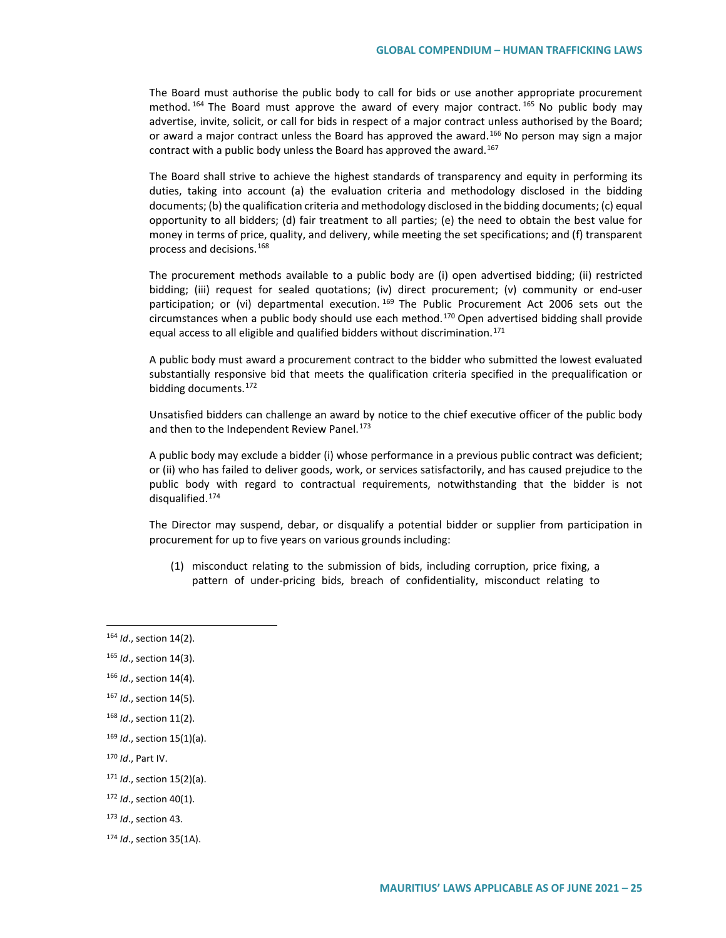The Board must authorise the public body to call for bids or use another appropriate procurement method.  $164$  The Board must approve the award of every major contract.  $165$  No public body may advertise, invite, solicit, or call for bids in respect of a major contract unless authorised by the Board; or award a major contract unless the Board has approved the award.<sup>[166](#page-24-2)</sup> No person may sign a major contract with a public body unless the Board has approved the award.<sup>[167](#page-24-3)</sup>

The Board shall strive to achieve the highest standards of transparency and equity in performing its duties, taking into account (a) the evaluation criteria and methodology disclosed in the bidding documents; (b) the qualification criteria and methodology disclosed in the bidding documents; (c) equal opportunity to all bidders; (d) fair treatment to all parties; (e) the need to obtain the best value for money in terms of price, quality, and delivery, while meeting the set specifications; and (f) transparent process and decisions.[168](#page-24-4)

The procurement methods available to a public body are (i) open advertised bidding; (ii) restricted bidding; (iii) request for sealed quotations; (iv) direct procurement; (v) community or end-user participation; or (vi) departmental execution. <sup>[169](#page-24-5)</sup> The Public Procurement Act 2006 sets out the circumstances when a public body should use each method.<sup>[170](#page-24-6)</sup> Open advertised bidding shall provide equal access to all eligible and qualified bidders without discrimination.<sup>[171](#page-24-7)</sup>

A public body must award a procurement contract to the bidder who submitted the lowest evaluated substantially responsive bid that meets the qualification criteria specified in the prequalification or bidding documents.[172](#page-24-8)

Unsatisfied bidders can challenge an award by notice to the chief executive officer of the public body and then to the Independent Review Panel.<sup>[173](#page-24-9)</sup>

A public body may exclude a bidder (i) whose performance in a previous public contract was deficient; or (ii) who has failed to deliver goods, work, or services satisfactorily, and has caused prejudice to the public body with regard to contractual requirements, notwithstanding that the bidder is not disqualified.[174](#page-24-10)

The Director may suspend, debar, or disqualify a potential bidder or supplier from participation in procurement for up to five years on various grounds including:

(1) misconduct relating to the submission of bids, including corruption, price fixing, a pattern of under-pricing bids, breach of confidentiality, misconduct relating to

<span id="page-24-3"></span><sup>167</sup> *Id*., section 14(5).

- <span id="page-24-5"></span><sup>169</sup> *Id*., section 15(1)(a).
- <span id="page-24-6"></span><sup>170</sup> *Id*., Part IV.
- <span id="page-24-7"></span><sup>171</sup> *Id*., section 15(2)(a).
- <span id="page-24-8"></span><sup>172</sup> *Id*., section 40(1).
- <span id="page-24-9"></span><sup>173</sup> *Id*., section 43.

<span id="page-24-0"></span> <sup>164</sup> *Id*., section 14(2).

<span id="page-24-1"></span><sup>165</sup> *Id*., section 14(3).

<span id="page-24-2"></span><sup>166</sup> *Id*., section 14(4).

<span id="page-24-4"></span><sup>168</sup> *Id*., section 11(2).

<span id="page-24-10"></span><sup>174</sup> *Id*., section 35(1A).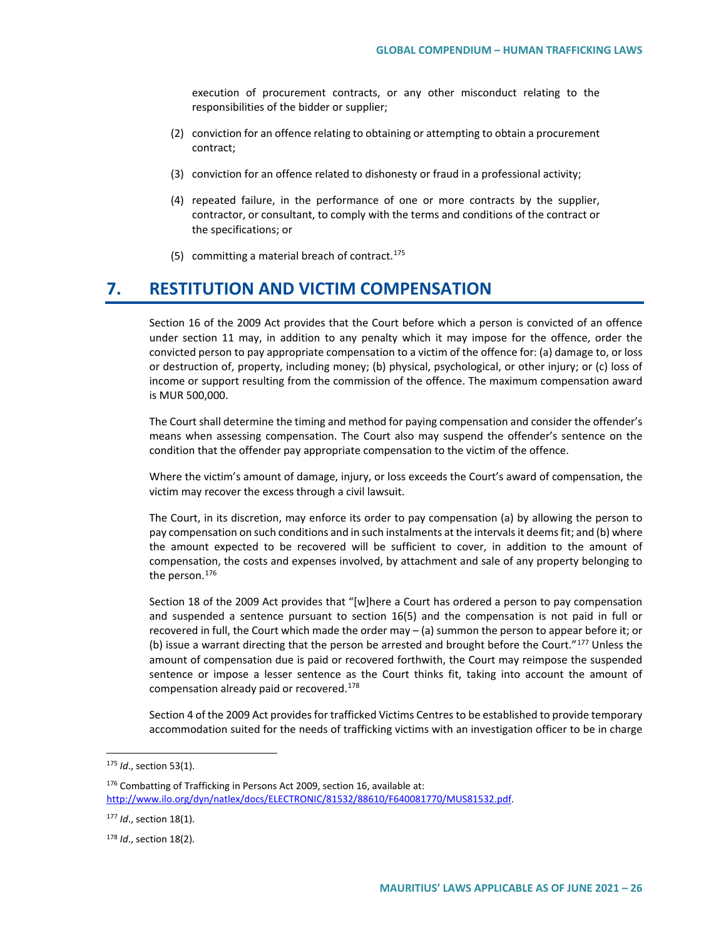execution of procurement contracts, or any other misconduct relating to the responsibilities of the bidder or supplier;

- (2) conviction for an offence relating to obtaining or attempting to obtain a procurement contract;
- (3) conviction for an offence related to dishonesty or fraud in a professional activity;
- (4) repeated failure, in the performance of one or more contracts by the supplier, contractor, or consultant, to comply with the terms and conditions of the contract or the specifications; or
- (5) committing a material breach of contract.<sup>[175](#page-25-0)</sup>

# **7. RESTITUTION AND VICTIM COMPENSATION**

Section 16 of the 2009 Act provides that the Court before which a person is convicted of an offence under section 11 may, in addition to any penalty which it may impose for the offence, order the convicted person to pay appropriate compensation to a victim of the offence for: (a) damage to, or loss or destruction of, property, including money; (b) physical, psychological, or other injury; or (c) loss of income or support resulting from the commission of the offence. The maximum compensation award is MUR 500,000.

The Court shall determine the timing and method for paying compensation and consider the offender's means when assessing compensation. The Court also may suspend the offender's sentence on the condition that the offender pay appropriate compensation to the victim of the offence.

Where the victim's amount of damage, injury, or loss exceeds the Court's award of compensation, the victim may recover the excess through a civil lawsuit.

The Court, in its discretion, may enforce its order to pay compensation (a) by allowing the person to pay compensation on such conditions and in such instalments at the intervals it deems fit; and (b) where the amount expected to be recovered will be sufficient to cover, in addition to the amount of compensation, the costs and expenses involved, by attachment and sale of any property belonging to the person.<sup>[176](#page-25-1)</sup>

Section 18 of the 2009 Act provides that "[w]here a Court has ordered a person to pay compensation and suspended a sentence pursuant to section 16(5) and the compensation is not paid in full or recovered in full, the Court which made the order may – (a) summon the person to appear before it; or (b) issue a warrant directing that the person be arrested and brought before the Court."<sup>[177](#page-25-2)</sup> Unless the amount of compensation due is paid or recovered forthwith, the Court may reimpose the suspended sentence or impose a lesser sentence as the Court thinks fit, taking into account the amount of compensation already paid or recovered.[178](#page-25-3)

Section 4 of the 2009 Act provides for trafficked Victims Centres to be established to provide temporary accommodation suited for the needs of trafficking victims with an investigation officer to be in charge

<span id="page-25-0"></span> <sup>175</sup> *Id*., section 53(1).

<span id="page-25-1"></span><sup>176</sup> Combatting of Trafficking in Persons Act 2009, section 16, available at: [http://www.ilo.org/dyn/natlex/docs/ELECTRONIC/81532/88610/F640081770/MUS81532.pdf.](http://www.ilo.org/dyn/natlex/docs/ELECTRONIC/81532/88610/F640081770/MUS81532.pdf)

<span id="page-25-2"></span><sup>177</sup> *Id*., section 18(1).

<span id="page-25-3"></span><sup>178</sup> *Id*., section 18(2).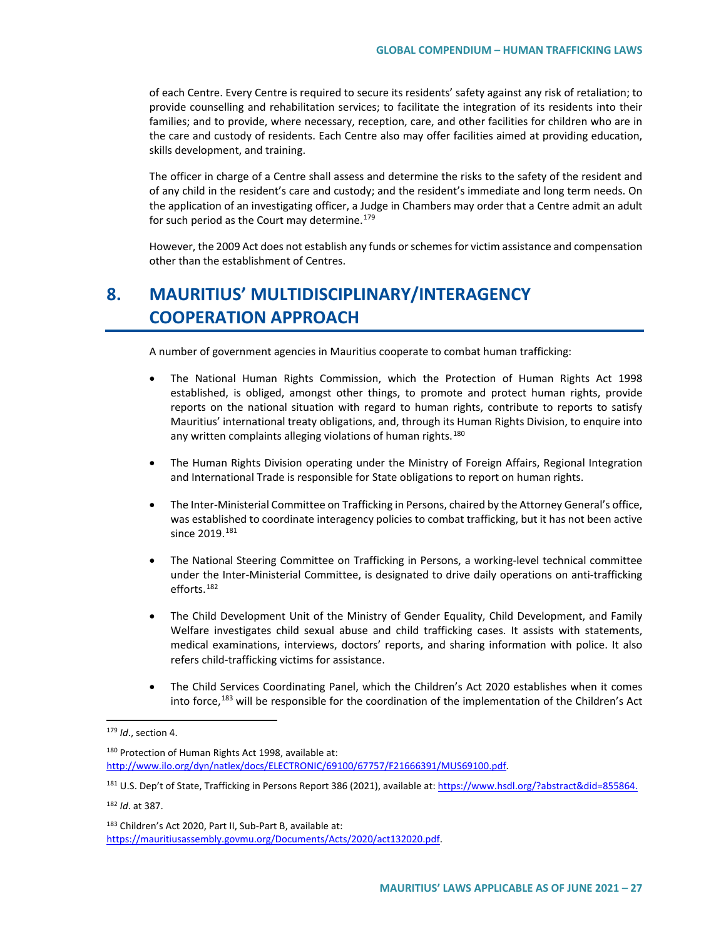of each Centre. Every Centre is required to secure its residents' safety against any risk of retaliation; to provide counselling and rehabilitation services; to facilitate the integration of its residents into their families; and to provide, where necessary, reception, care, and other facilities for children who are in the care and custody of residents. Each Centre also may offer facilities aimed at providing education, skills development, and training.

The officer in charge of a Centre shall assess and determine the risks to the safety of the resident and of any child in the resident's care and custody; and the resident's immediate and long term needs. On the application of an investigating officer, a Judge in Chambers may order that a Centre admit an adult for such period as the Court may determine.<sup>[179](#page-26-0)</sup>

However, the 2009 Act does not establish any funds or schemes for victim assistance and compensation other than the establishment of Centres.

# **8. MAURITIUS' MULTIDISCIPLINARY/INTERAGENCY COOPERATION APPROACH**

A number of government agencies in Mauritius cooperate to combat human trafficking:

- The National Human Rights Commission, which the Protection of Human Rights Act 1998 established, is obliged, amongst other things, to promote and protect human rights, provide reports on the national situation with regard to human rights, contribute to reports to satisfy Mauritius' international treaty obligations, and, through its Human Rights Division, to enquire into any written complaints alleging violations of human rights.<sup>[180](#page-26-1)</sup>
- The Human Rights Division operating under the Ministry of Foreign Affairs, Regional Integration and International Trade is responsible for State obligations to report on human rights.
- The Inter-Ministerial Committee on Trafficking in Persons, chaired by the Attorney General's office, was established to coordinate interagency policies to combat trafficking, but it has not been active since 2019.<sup>[181](#page-26-2)</sup>
- The National Steering Committee on Trafficking in Persons, a working-level technical committee under the Inter-Ministerial Committee, is designated to drive daily operations on anti-trafficking efforts.[182](#page-26-3)
- The Child Development Unit of the Ministry of Gender Equality, Child Development, and Family Welfare investigates child sexual abuse and child trafficking cases. It assists with statements, medical examinations, interviews, doctors' reports, and sharing information with police. It also refers child-trafficking victims for assistance.
- The Child Services Coordinating Panel, which the Children's Act 2020 establishes when it comes into force,<sup>[183](#page-26-4)</sup> will be responsible for the coordination of the implementation of the Children's Act

<span id="page-26-1"></span>180 Protection of Human Rights Act 1998, available at: [http://www.ilo.org/dyn/natlex/docs/ELECTRONIC/69100/67757/F21666391/MUS69100.pdf.](http://www.ilo.org/dyn/natlex/docs/ELECTRONIC/69100/67757/F21666391/MUS69100.pdf)

<span id="page-26-0"></span> <sup>179</sup> *Id*., section 4.

<span id="page-26-2"></span><sup>181</sup> U.S. Dep't of State, Trafficking in Persons Report 386 (2021), available at[: https://www.hsdl.org/?abstract&did=855864.](https://www.hsdl.org/?abstract&did=855864)

<span id="page-26-3"></span><sup>182</sup> *Id*. at 387.

<span id="page-26-4"></span><sup>183</sup> Children's Act 2020, Part II, Sub-Part B, available at: [https://mauritiusassembly.govmu.org/Documents/Acts/2020/act132020.pdf.](https://mauritiusassembly.govmu.org/Documents/Acts/2020/act132020.pdf)